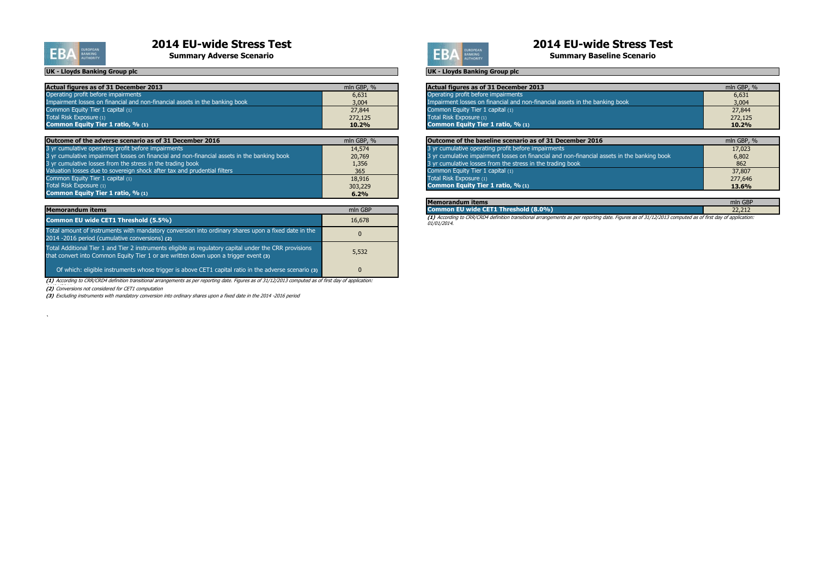| Actual figures as of 31 December 2013                                       | mln GBP, % | Actual figures as of 31 December 2013                                       | mln GBP, % |
|-----------------------------------------------------------------------------|------------|-----------------------------------------------------------------------------|------------|
| Operating profit before impairments                                         | 6,631      | Operating profit before impairments                                         | 6,631      |
| Impairment losses on financial and non-financial assets in the banking book | 3,004      | Impairment losses on financial and non-financial assets in the banking book | 3,004      |
| Common Equity Tier 1 capital (1)                                            | 27,844     | Common Equity Tier 1 capital $(1)$                                          | 27,844     |
| Total Risk Exposure (1)                                                     | 272,125    | Total Risk Exposure (1)                                                     | 272,125    |
| <b>Common Equity Tier 1 ratio, % (1)</b>                                    | 10.2%      | <b>Common Equity Tier 1 ratio, % (1)</b>                                    | $10.2\%$   |

| Outcome of the adverse scenario as of 31 December 2016                                      | mln GBP, % | Outcome of the baseline scenario as of 31 December 2016                                     | mln GBP, %   |
|---------------------------------------------------------------------------------------------|------------|---------------------------------------------------------------------------------------------|--------------|
| 3 yr cumulative operating profit before impairments                                         | 14,574     | 3 yr cumulative operating profit before impairments                                         | 17,023       |
| 3 yr cumulative impairment losses on financial and non-financial assets in the banking book | 20,769     | 3 yr cumulative impairment losses on financial and non-financial assets in the banking book | 6,802        |
| 3 yr cumulative losses from the stress in the trading book                                  | 1,356      | 3 yr cumulative losses from the stress in the trading book                                  | 862          |
| Valuation losses due to sovereign shock after tax and prudential filters                    | 365        | Common Equity Tier 1 capital (1)                                                            | 37,807       |
| Common Equity Tier 1 capital (1)                                                            | 18,916     | Total Risk Exposure (1)                                                                     | 277,646      |
| Total Risk Exposure (1)                                                                     | 303,229    | Common Equity Tier 1 ratio, % (1)                                                           | <b>13.6%</b> |
| Common Equity Tier 1 ratio, % (1)                                                           | 6.2%       |                                                                                             |              |

| UN - LIUYUS DAHKING GIUUD DIC                                                               |                      |
|---------------------------------------------------------------------------------------------|----------------------|
|                                                                                             |                      |
| <b>Actual figures as of 31 December 2013</b>                                                | mln GBP, %           |
| Operating profit before impairments                                                         | 6,631                |
| Impairment losses on financial and non-financial assets in the banking book                 | 3,004                |
| Common Equity Tier 1 capital (1)                                                            | 27,844               |
| Total Risk Exposure (1)                                                                     | 272,125              |
| Common Equity Tier 1 ratio, % (1)                                                           | 10.2%                |
|                                                                                             |                      |
| Outcome of the baseline scenario as of 31 December 2016                                     | mln GBP, %           |
| 3 yr cumulative operating profit before impairments                                         | 17,023               |
| 3 yr cumulative impairment losses on financial and non-financial assets in the banking book | 6,802                |
| 3 yr cumulative losses from the stress in the trading book                                  | 862                  |
| Common Equity Tier 1 capital (1)                                                            | 37,807               |
| Total Risk Exposure (1)                                                                     | 277,646              |
| Common Equity Tier 1 ratio, % (1)                                                           | 13.6%                |
|                                                                                             |                      |
| <b>Memorandum items</b>                                                                     | mln GBP              |
| Common Filmide CETA Thurshald (C.CO/A)                                                      | $\sim$ $\sim$ $\sim$ |

# **Common EU wide CET1 Threshold (8.0%)** 22,212

| <b>Memorandum items</b>                                                                                                                                                                       | mln GBP  |
|-----------------------------------------------------------------------------------------------------------------------------------------------------------------------------------------------|----------|
| Common EU wide CET1 Threshold (5.5%)                                                                                                                                                          | 16,678   |
| Total amount of instruments with mandatory conversion into ordinary shares upon a fixed date in the<br>2014 -2016 period (cumulative conversions) (2)                                         | $\Omega$ |
| Total Additional Tier 1 and Tier 2 instruments eligible as regulatory capital under the CRR provisions<br>that convert into Common Equity Tier 1 or are written down upon a trigger event (3) | 5,532    |
| Of which: eligible instruments whose trigger is above CET1 capital ratio in the adverse scenario (3)                                                                                          | 0        |

**(3)** Excluding instruments with mandatory conversion into ordinary shares upon a fixed date in the 2014 -2016 period

# **2014 EU-wide Stress Test**<br> **2014 EU-wide Stress Test**<br> **2014 EU-wide Stress Test**<br>
Summary Baseline Scenario

**Summary Baseline Scenario** 

**(1)** According to CRR/CRD4 definition transitional arrangements as per reporting date. Figures as of 31/12/2013 computed as of first day of application: 01/01/2014.

**(1)** According to CRR/CRD4 definition transitional arrangements as per reporting date. Figures as of 31/12/2013 computed as of first day of application:

(2) Conversions not considered for CET1 computation

 $\Delta$ 



#### **UK - Lloyds Banking Group plc UK - Lloyds Banking Group plc**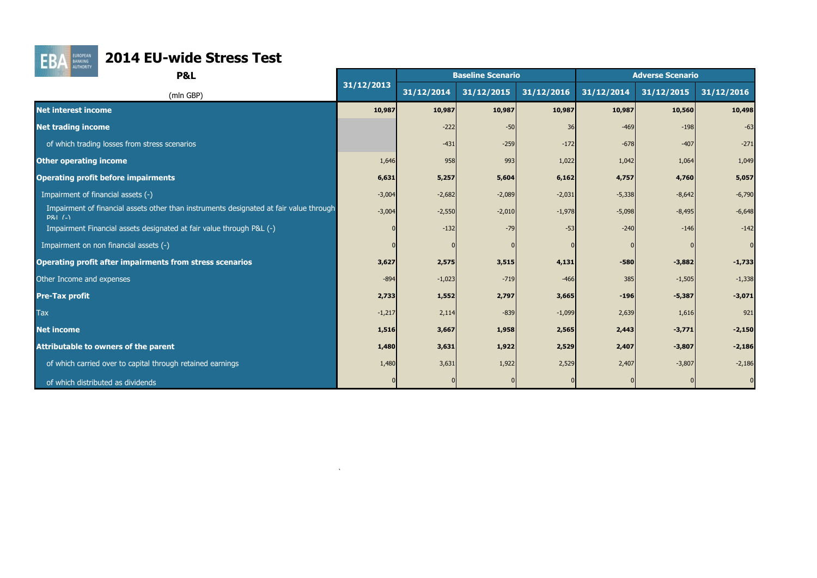

# **FBA EURICOPEAN 2014 EU-wide Stress Test**

| <b>AUTHORITY</b><br><b>P&amp;L</b>                                                                  |            |            | <b>Baseline Scenario</b> |            |            | <b>Adverse Scenario</b> |             |
|-----------------------------------------------------------------------------------------------------|------------|------------|--------------------------|------------|------------|-------------------------|-------------|
| (mln GBP)                                                                                           | 31/12/2013 | 31/12/2014 | 31/12/2015               | 31/12/2016 | 31/12/2014 | 31/12/2015              | 31/12/2016  |
| <b>Net interest income</b>                                                                          | 10,987     | 10,987     | 10,987                   | 10,987     | 10,987     | 10,560                  | 10,498      |
| <b>Net trading income</b>                                                                           |            | $-222$     | $-50$                    | 36         | $-469$     | $-198$                  | $-63$       |
| of which trading losses from stress scenarios                                                       |            | $-431$     | $-259$                   | $-172$     | $-678$     | $-407$                  | $-271$      |
| <b>Other operating income</b>                                                                       | 1,646      | 958        | 993                      | 1,022      | 1,042      | 1,064                   | 1,049       |
| <b>Operating profit before impairments</b>                                                          | 6,631      | 5,257      | 5,604                    | 6,162      | 4,757      | 4,760                   | 5,057       |
| Impairment of financial assets (-)                                                                  | $-3,004$   | $-2,682$   | $-2,089$                 | $-2,031$   | $-5,338$   | $-8,642$                | $-6,790$    |
| Impairment of financial assets other than instruments designated at fair value through<br>$PAI$ (-) | $-3,004$   | $-2,550$   | $-2,010$                 | $-1,978$   | $-5,098$   | $-8,495$                | $-6,648$    |
| Impairment Financial assets designated at fair value through P&L (-)                                |            | $-132$     | $-79$                    | -53        | $-240$     | $-146$                  | $-142$      |
| Impairment on non financial assets (-)                                                              |            |            |                          |            |            |                         | $\mathbf 0$ |
| <b>Operating profit after impairments from stress scenarios</b>                                     | 3,627      | 2,575      | 3,515                    | 4,131      | $-580$     | $-3,882$                | $-1,733$    |
| Other Income and expenses                                                                           | $-894$     | $-1,023$   | $-719$                   | $-466$     | 385        | $-1,505$                | $-1,338$    |
| <b>Pre-Tax profit</b>                                                                               | 2,733      | 1,552      | 2,797                    | 3,665      | $-196$     | $-5,387$                | $-3,071$    |
| <b>Tax</b>                                                                                          | $-1,217$   | 2,114      | $-839$                   | $-1,099$   | 2,639      | 1,616                   | 921         |
| <b>Net income</b>                                                                                   | 1,516      | 3,667      | 1,958                    | 2,565      | 2,443      | $-3,771$                | $-2,150$    |
| <b>Attributable to owners of the parent</b>                                                         | 1,480      | 3,631      | 1,922                    | 2,529      | 2,407      | $-3,807$                | $-2,186$    |
| of which carried over to capital through retained earnings                                          | 1,480      | 3,631      | 1,922                    | 2,529      | 2,407      | $-3,807$                | $-2,186$    |
| of which distributed as dividends                                                                   |            |            |                          |            |            |                         |             |

 $\Delta$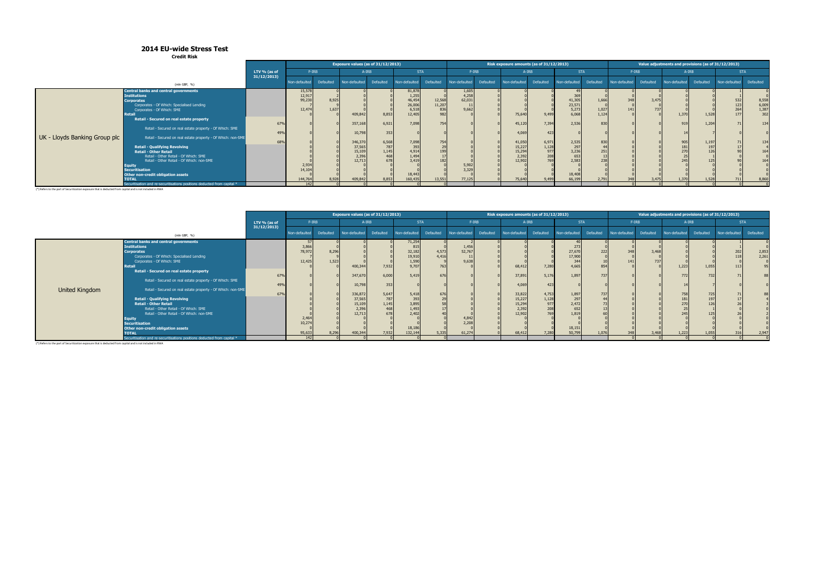**Credit Risk**

|                                                                                                                                                                                                                                                                                                                                              |              |                           |                |                                                           | Exposure values (as of 31/12/2013)           |                                                              |                                   |                          |           | Risk exposure amounts (as of 31/12/2013)                |                                              |                                                           |                         |               |              | Value adjustments and provisions (as of 31/12/2013) |             |               |                      |
|----------------------------------------------------------------------------------------------------------------------------------------------------------------------------------------------------------------------------------------------------------------------------------------------------------------------------------------------|--------------|---------------------------|----------------|-----------------------------------------------------------|----------------------------------------------|--------------------------------------------------------------|-----------------------------------|--------------------------|-----------|---------------------------------------------------------|----------------------------------------------|-----------------------------------------------------------|-------------------------|---------------|--------------|-----------------------------------------------------|-------------|---------------|----------------------|
|                                                                                                                                                                                                                                                                                                                                              | LTV % (as of | F-IRB                     |                |                                                           | A-IRB                                        |                                                              | <b>STA</b>                        |                          | $F-IRB$   |                                                         | A-IRB                                        | <b>STA</b>                                                |                         |               | $F-IRB$      |                                                     | A-IRB       |               | <b>STA</b>           |
| (mln GBP, %)                                                                                                                                                                                                                                                                                                                                 | 31/12/2013   | Non-defaulted             | Defaulted      | Non-defaulted                                             | Defaulted                                    | Non-defaulted                                                | Defaulted                         | Non-defaulted            | Defaulted | Non-defaulted                                           | Defaulted                                    | Non-defaulted                                             | Defaulted               | Non-defaulted | Defaulted    | Non-defaulted                                       | Defaulted   | Non-defaulted | Defaulted            |
| Central banks and central governments<br><b>Institutions</b><br><b>Corporates</b><br>Corporates - Of Which: Specialised Lending<br>Corporates - Of Which: SME<br><b>Retai</b>                                                                                                                                                                |              | 3,866<br>78,972<br>12,42  | 8,296<br>1,523 | 400,344                                                   | 7,932                                        | 71,254<br>815<br>32,182<br>19,910<br>1,590<br>9,707          | 4,573<br>4,416<br>76 <sup>°</sup> | 1,456<br>52,767<br>9,638 |           | 68,412                                                  | 7,280                                        | 273<br>27,670<br>17,900<br>344<br>4.665                   | 222 <sub>1</sub><br>854 | 348<br>141    | 3,468<br>737 | 1,223                                               | 1,055       | 202<br>113    | 2,853<br>2,261<br>95 |
| Retail - Secured on real estate property<br>Retail - Secured on real estate property - Of Which: SME                                                                                                                                                                                                                                         | 67%<br>49%   |                           |                | 347,670<br>10,798                                         | 6,000<br>353                                 | 5,419                                                        | 676                               |                          |           | 37,891<br>4,069                                         | 5,176<br>423                                 | 1,897                                                     | 737                     |               |              | 772                                                 | 72          |               | 88                   |
| United Kingdom<br>Retail - Secured on real estate property - Of Which: non-SME<br><b>Retail - Qualifying Revolving</b><br><b>Retail - Other Retail</b><br>Retail - Other Retail - Of Which: SME<br>Retail - Other Retail - Of Which: non-SME<br><b>Equity</b><br><b>Securitisation</b><br>Other non-credit obligation assets<br><b>TOTAL</b> | 67%          | 2,464<br>10,274<br>95.633 | 8.296          | 336,872<br>37,565<br>15,109<br>2,396<br>12,713<br>400,344 | 5,647<br>787<br>1,145<br>468<br>678<br>7,932 | 5,418<br>393<br>3,895<br>1,493<br>2,402<br>18,186<br>132,144 | 676<br>5.335                      | 4,842<br>2,208<br>61,274 |           | 33,822<br>15,227<br>15,294<br>2,392<br>12,902<br>68,412 | 4,753<br>1,128<br>977<br>208<br>769<br>7,280 | 1,897<br>297<br>2,472<br>652<br>1,819<br>18,151<br>50.799 | 737<br>1.076            | 348           | 3.468        | 758<br>181<br>270<br>245<br>1,223                   | 72<br>1.055 |               | 2,947                |

|                                                                                                            | <b>CIGUIL NISK</b>                                                      |                            |               |           |                                    |            |                                                        |                         |                |           |                                          |                            |                  |                |               |           |                                                     |              |                          |                       |
|------------------------------------------------------------------------------------------------------------|-------------------------------------------------------------------------|----------------------------|---------------|-----------|------------------------------------|------------|--------------------------------------------------------|-------------------------|----------------|-----------|------------------------------------------|----------------------------|------------------|----------------|---------------|-----------|-----------------------------------------------------|--------------|--------------------------|-----------------------|
|                                                                                                            |                                                                         |                            |               |           | Exposure values (as of 31/12/2013) |            |                                                        |                         |                |           | Risk exposure amounts (as of 31/12/2013) |                            |                  |                |               |           | Value adjustments and provisions (as of 31/12/2013) |              |                          |                       |
|                                                                                                            |                                                                         | LTV % (as of<br>31/12/2013 |               | $F-IRB$   |                                    | A-IRB      | <b>STA</b>                                             |                         | $F-IRB$        |           |                                          | A-IRB                      | <b>STA</b>       |                | $F-IRB$       |           |                                                     | A-IRB        | <b>STA</b>               |                       |
|                                                                                                            | $(mln$ GBP, $%$                                                         |                            | Non-defaulted | Defaulted | Non-defaulted                      | Defaulted  | Non-defaulted                                          | Defaulted               | Non-defaulted  | Defaulted | Non-defaulted                            | Defaulted                  | Non-defaulted    | Defaulted      | Non-defaulted | Defaulted | Non-defaulted                                       | Defaulted    | Non-defaulted            | Defaulted             |
|                                                                                                            | Central banks and central governments                                   |                            | 15,578        |           |                                    |            | 81,878<br>1,255<br>46,454<br>26,006<br>6,518<br>12,405 |                         | 1,605<br>4,258 |           |                                          |                            |                  |                |               |           |                                                     |              |                          |                       |
|                                                                                                            | <b>Institutions</b>                                                     |                            | 12,917        |           |                                    |            |                                                        |                         |                |           |                                          |                            | 369              |                |               |           |                                                     |              |                          |                       |
|                                                                                                            | <b>Corporates</b>                                                       |                            | 99,230        | 8,925     |                                    |            |                                                        |                         | 62,031         |           |                                          |                            | 41,305<br>23,571 | 1,666          | 348           | 3,475     |                                                     |              |                          | 8,558                 |
|                                                                                                            | Corporates - Of Which: Specialised Lending                              |                            | 12,474        | 1,637     |                                    |            |                                                        | 12,568<br>11,207<br>836 |                |           |                                          |                            |                  |                | 141           |           |                                                     |              |                          |                       |
|                                                                                                            | Corporates - Of Which: SME<br>Retai                                     |                            |               |           | 409,84                             | 8,853      |                                                        |                         | 9,662          |           | 75,640                                   | 9,499                      | $5,273$<br>6,068 | 1,027<br>1,124 |               |           | 1,370                                               | 1,528        | 532<br>123<br>264<br>177 | 6,009<br>1,387<br>302 |
|                                                                                                            | Retail - Secured on real estate property                                |                            |               |           |                                    |            |                                                        |                         |                |           |                                          |                            |                  |                |               |           |                                                     |              |                          |                       |
|                                                                                                            |                                                                         | 67%                        |               |           | 357,168                            | 6,921      | 7,098                                                  | 754                     |                |           | 45,12                                    | 7,394                      | 2,536            | 830            |               |           | 919                                                 | 1,204        |                          | 134                   |
|                                                                                                            | Retail - Secured on real estate property - Of Which: SME                |                            |               |           |                                    |            |                                                        |                         |                |           |                                          |                            |                  |                |               |           |                                                     |              |                          |                       |
|                                                                                                            |                                                                         | 49%                        |               |           | 10,79                              | 353        |                                                        |                         |                |           | 4,069                                    | 423                        |                  |                |               |           |                                                     |              |                          |                       |
| UK - Lloyds Banking Group plc                                                                              | Retail - Secured on real estate property - Of Which: non-SME            |                            |               |           |                                    |            |                                                        |                         |                |           |                                          |                            |                  |                |               |           |                                                     |              |                          |                       |
|                                                                                                            |                                                                         | 68%                        |               |           | 346,37                             | 6,568      | 7,098<br>393                                           | 75 <sup>4</sup>         |                |           | 41,050                                   | 6,971                      | 2,535<br>297     | 830            |               |           | 905                                                 | 1,197<br>197 |                          | 134                   |
|                                                                                                            | <b>Retail - Qualifying Revolving</b>                                    |                            |               |           | 37,565                             | 787        |                                                        |                         |                |           |                                          |                            |                  |                |               |           | 181                                                 |              |                          |                       |
|                                                                                                            | <b>Retail - Other Retail</b>                                            |                            |               |           | 15,10                              | 1,145      | 4,914<br>1,494<br>3,419                                |                         |                |           | 15,227<br>15,294<br>2,392<br>12,902      | 1,128<br>977<br>208<br>769 | 3,236            | 251            |               |           | 270                                                 |              |                          | 164                   |
|                                                                                                            | Retail - Other Retail - Of Which: SME                                   |                            |               |           | 2,396                              | 468<br>678 |                                                        |                         |                |           |                                          |                            | 653<br>2,583     | 238            |               |           | 245                                                 |              |                          |                       |
|                                                                                                            | Retail - Other Retail - Of Which: non-SME                               |                            | 2,934         |           | 12,713                             |            |                                                        |                         | 5,902          |           |                                          |                            |                  |                |               |           |                                                     |              |                          | 164                   |
|                                                                                                            | Equity<br><b>Securitisation</b>                                         |                            | 14,104        |           |                                    |            |                                                        |                         | 3,329          |           |                                          |                            |                  |                |               |           |                                                     |              |                          |                       |
|                                                                                                            | Other non-credit obligation assets                                      |                            |               |           |                                    |            |                                                        |                         |                |           |                                          |                            | 18,408           |                |               |           |                                                     |              |                          |                       |
|                                                                                                            | <b>TOTAL</b>                                                            |                            | 144,764       | 8.928     | 409,842                            | 8.853      | 18,443<br>160,435                                      | 13,551                  | 77,125         |           | 75,640                                   | 9.499                      | 66,199           | 2,791          |               | 3.475     | 1,370                                               | 1,528        | 711                      | 8,860                 |
|                                                                                                            | Securitisation and re-securitisations positions deducted from capital * |                            | 142           |           |                                    |            |                                                        |                         |                |           |                                          |                            |                  |                |               |           |                                                     |              |                          |                       |
| (*) Refers to the part of Securitization exposure that is deducted from capital and is not included in RWA |                                                                         |                            |               |           |                                    |            |                                                        |                         |                |           |                                          |                            |                  |                |               |           |                                                     |              |                          |                       |

(\*) Refers to the part of Securitization exposure that is deducted from capital and is not included in RWA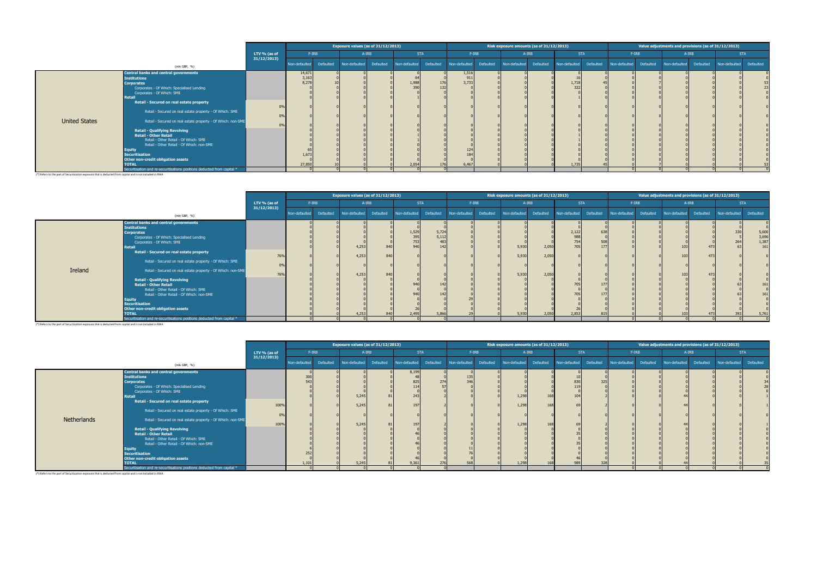|                      |                                                                         |              |               |           | Exposure values (as of 31/12/2013) |           |               |           |               |           | Risk exposure amounts (as of 31/12/2013) |           |               |            |               |           | Value adjustments and provisions (as of 31/12/2013) |           |               |            |
|----------------------|-------------------------------------------------------------------------|--------------|---------------|-----------|------------------------------------|-----------|---------------|-----------|---------------|-----------|------------------------------------------|-----------|---------------|------------|---------------|-----------|-----------------------------------------------------|-----------|---------------|------------|
|                      |                                                                         | LTV % (as of | F-IRB         |           |                                    | A-IRB     | <b>STA</b>    |           | $F-IRB$       |           |                                          | A-IRB     |               | <b>STA</b> |               | $F-IRB$   |                                                     | A-IRB     |               | <b>STA</b> |
|                      | $(mln$ GBP, $%$                                                         | 31/12/2013   | Non-defaulted | Defaulted | Non-defaulted                      | Defaulted | Non-defaulted | Defaulted | Non-defaulted | Defaulted | Non-defaulted                            | Defaulted | Non-defaulted | Defaulted  | Non-defaulted | Defaulted | Non-defaulted                                       | Defaulted | Non-defaulted | Defaulted  |
|                      | Central banks and central governments                                   |              | 14,671        |           |                                    |           |               |           | 1,516         |           |                                          |           |               |            |               |           |                                                     |           |               |            |
|                      | <b>Institutions</b>                                                     |              | 3,163         |           |                                    |           |               |           | 911           |           |                                          |           |               |            |               |           |                                                     |           |               |            |
|                      | <b>Corporates</b>                                                       |              | 8,278         |           |                                    |           | 1,988         | 176       | 3,733         |           |                                          |           | 1,718         |            |               |           |                                                     |           |               |            |
|                      | Corporates - Of Which: Specialised Lending                              |              |               |           |                                    |           | 390           | 132       |               |           |                                          |           | 322           |            |               |           |                                                     |           |               |            |
|                      | Corporates - Of Which: SME                                              |              |               |           |                                    |           |               |           |               |           |                                          |           |               |            |               |           |                                                     |           |               |            |
|                      | <b>Retail</b>                                                           |              |               |           |                                    |           |               |           |               |           |                                          |           |               |            |               |           |                                                     |           |               |            |
|                      | Retail - Secured on real estate property                                |              |               |           |                                    |           |               |           |               |           |                                          |           |               |            |               |           |                                                     |           |               |            |
|                      | Retail - Secured on real estate property - Of Which: SME                |              |               |           |                                    |           |               |           |               |           |                                          |           |               |            |               |           |                                                     |           |               |            |
|                      |                                                                         |              |               |           |                                    |           |               |           |               |           |                                          |           |               |            |               |           |                                                     |           |               |            |
| <b>United States</b> | Retail - Secured on real estate property - Of Which: non-SME            |              |               |           |                                    |           |               |           |               |           |                                          |           |               |            |               |           |                                                     |           |               |            |
|                      |                                                                         |              |               |           |                                    |           |               |           |               |           |                                          |           |               |            |               |           |                                                     |           |               |            |
|                      | <b>Retail - Qualifying Revolving</b>                                    |              |               |           |                                    |           |               |           |               |           |                                          |           |               |            |               |           |                                                     |           |               |            |
|                      | <b>Retail - Other Retail</b>                                            |              |               |           |                                    |           |               |           |               |           |                                          |           |               |            |               |           |                                                     |           |               |            |
|                      | Retail - Other Retail - Of Which: SME                                   |              |               |           |                                    |           |               |           |               |           |                                          |           |               |            |               |           |                                                     |           |               |            |
|                      | Retail - Other Retail - Of Which: non-SME                               |              |               |           |                                    |           |               |           |               |           |                                          |           |               |            |               |           |                                                     |           |               |            |
|                      | Equity                                                                  |              |               |           |                                    |           |               |           |               |           |                                          |           |               |            |               |           |                                                     |           |               |            |
|                      | Securitisation                                                          |              | 1,673         |           |                                    |           |               |           |               |           |                                          |           |               |            |               |           |                                                     |           |               |            |
|                      | Other non-credit obligation assets<br><b>TOTAL</b>                      |              | 27,850        |           |                                    |           | 2,054         |           | 6,467         |           |                                          |           | 1,73          |            |               |           |                                                     |           |               |            |
|                      | Securitisation and re-securitisations positions deducted from capital * |              |               |           |                                    |           |               |           |               |           |                                          |           |               |            |               |           |                                                     |           |               |            |

|         |                                                                                                                                                                                                                                                                                                                                                                                                                                                                                                                                                                                                                             |              |               |           | Exposure values (as of 31/12/2013) |                   |                                                   |                                       |               |           | Risk exposure amounts (as of 31/12/2013) |                                  |                                            |            |               |           | Value adjustments and provisions (as of 31/12/2013) |                                    |                 |                                                       |
|---------|-----------------------------------------------------------------------------------------------------------------------------------------------------------------------------------------------------------------------------------------------------------------------------------------------------------------------------------------------------------------------------------------------------------------------------------------------------------------------------------------------------------------------------------------------------------------------------------------------------------------------------|--------------|---------------|-----------|------------------------------------|-------------------|---------------------------------------------------|---------------------------------------|---------------|-----------|------------------------------------------|----------------------------------|--------------------------------------------|------------|---------------|-----------|-----------------------------------------------------|------------------------------------|-----------------|-------------------------------------------------------|
|         |                                                                                                                                                                                                                                                                                                                                                                                                                                                                                                                                                                                                                             | LTV % (as of |               | $F-IRB$   |                                    | A-IRB             |                                                   | <b>STA</b>                            |               | $F-IRB$   |                                          | A-IRB                            |                                            | <b>STA</b> |               | $F-IRB$   |                                                     | A-IRB                              |                 | <b>STA</b>                                            |
|         | $(mln$ GBP, $%$                                                                                                                                                                                                                                                                                                                                                                                                                                                                                                                                                                                                             | 31/12/2013   | Non-defaulted | Defaulted | Non-defaulted                      | Defaulted         | Non-defaulted                                     | Defaulted                             | Non-defaulted | Defaulted | Non-defaulted                            | Defaulted                        | Non-defaulted                              | Defaulted  | Non-defaulted | Defaulted | Non-defaulted                                       | Defaulted                          | Non-defaulted   | Defaulted                                             |
| Ireland | <b>Central banks and central governments</b><br><b>Institutions</b><br><b>Corporates</b><br>Corporates - Of Which: Specialised Lending<br>Corporates - Of Which: SME<br><b>Retail</b><br>Retail - Secured on real estate property<br>Retail - Secured on real estate property - Of Which: SME<br>Retail - Secured on real estate property - Of Which: non-SME<br><b>Retail - Qualifying Revolving</b><br><b>Retail - Other Retail</b><br>Retail - Other Retail - Of Which: SME<br>Retail - Other Retail - Of Which: non-SME<br><b>Equity</b><br><b>Securitisation</b><br>Other non-credit obligation assets<br><b>TOTAL</b> | 76%<br>76%   |               |           | 4,253<br>4,253<br>4,253<br>4,25    | 840<br>840<br>840 | 1,529<br>395<br>753<br>940<br>940<br>940<br>2,495 | 5,724<br>5,112<br>483<br>142<br>5,866 |               |           | 5,93<br>5,930<br>5,930<br>5,930          | 2,050<br>2,050<br>2,050<br>2,050 | 2,122<br>988<br>754<br>705<br>705<br>2,853 | 508<br>177 |               |           | 103<br>103<br>103<br>103                            | 47 <sup>2</sup><br>47 <sup>2</sup> | 26 <sup>4</sup> | 5,600<br>3,696<br>1,387<br>161<br>161<br>161<br>5,761 |
|         | Securitisation and re-securitisations positions deducted from capital *                                                                                                                                                                                                                                                                                                                                                                                                                                                                                                                                                     |              |               |           |                                    |                   |                                                   |                                       |               |           |                                          |                                  |                                            |            |               |           |                                                     |                                    |                 |                                                       |

(\*) Refers to the part of Securitization exposure that is deducted from capital and is not included in RWA

|             |                                                                                                                                                                                                                                                                                                                                                                                                |                            |               |           | Exposure values (as of 31/12/2013) |           |                                                            |            |               |           | Risk exposure amounts (as of 31/12/2013) |                              |                        |           |               |           | Value adjustments and provisions (as of 31/12/2013) |           |               |            |
|-------------|------------------------------------------------------------------------------------------------------------------------------------------------------------------------------------------------------------------------------------------------------------------------------------------------------------------------------------------------------------------------------------------------|----------------------------|---------------|-----------|------------------------------------|-----------|------------------------------------------------------------|------------|---------------|-----------|------------------------------------------|------------------------------|------------------------|-----------|---------------|-----------|-----------------------------------------------------|-----------|---------------|------------|
|             |                                                                                                                                                                                                                                                                                                                                                                                                | LTV % (as of<br>31/12/2013 |               | $F-IRB$   |                                    | A-IRB     |                                                            | <b>STA</b> | F-IRB         |           |                                          | A-IRB                        | <b>STA</b>             |           |               | $F-IRB$   |                                                     | A-IRB     |               | <b>STA</b> |
|             | (mln GBP, $\%$ )                                                                                                                                                                                                                                                                                                                                                                               |                            | Non-defaulted | Defaulted | Non-defaulted                      | Defaulted | Non-defaulted                                              | Defaulted  | Non-defaulted | Defaulted | Non-defaulted                            | Defaulted                    | Non-defaulted          | Defaulted | Non-defaulted | Defaulted | Non-defaulted                                       | Defaulted | Non-defaulted | Defaulted  |
| Netherlands | Central banks and central governments<br><b>Institutions</b><br><b>Corporates</b><br>Corporates - Of Which: Specialised Lending<br>Corporates - Of Which: SME<br><b>Retail</b><br>Retail - Secured on real estate property<br>Retail - Secured on real estate property - Of Which: SME<br>Retail - Secured on real estate property - Of Which: non-SME<br><b>Retail - Qualifying Revolving</b> | 100%<br>100%               | 300<br>54     |           | 5,24!<br>5,24!<br>5,245            |           | 8,199<br>$\overline{A}$<br>825<br>114<br>243<br>197<br>197 | 274        | 13<br>2AC     |           | 1,298<br>1,298<br>1,298                  | 16 <sub>i</sub><br>16<br>168 | 830<br>10 <sup>1</sup> | 325       |               |           |                                                     |           |               |            |
|             | <b>Retail - Other Retail</b><br>Retail - Other Retail - Of Which: SME<br>Retail - Other Retail - Of Which: non-SME<br><b>Equity</b><br>Securitisation<br>Other non-credit obligation assets<br><b>TOTAL</b><br>Securitisation and re-securitisations positions deducted from capital *                                                                                                         |                            | 1,10          |           | 5,24!                              |           | 9,361                                                      |            |               |           | 1,298                                    |                              |                        | 321       |               |           |                                                     |           |               |            |

(\*) Refers to the part of Securitization exposure that is deducted from capital and is not included in RWA

(\*) Refers to the part of Securitization exposure that is deducted from capital and is not included in RWA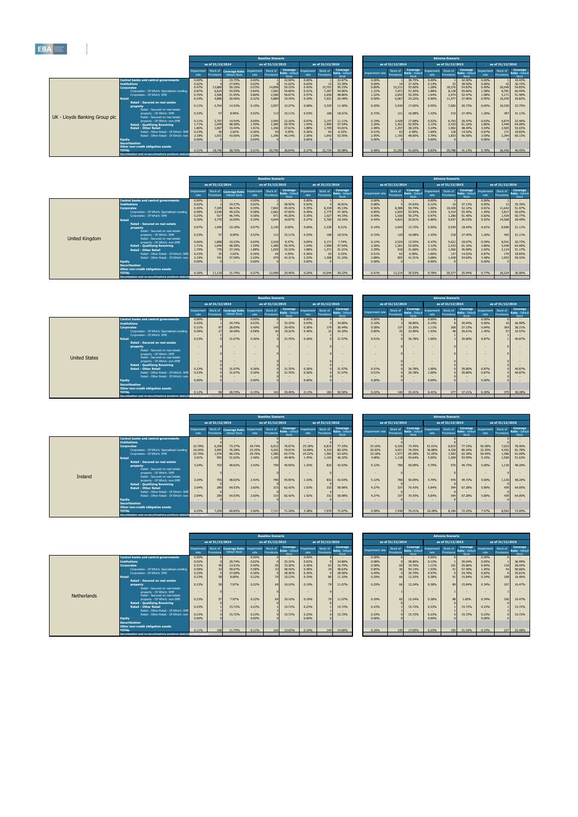|                                                                  |                    |                               |                                          |                    | <b>Baseline Scenario</b> |                                      |                             |                  |                                     |                 |                               |                                      |                   | <b>Adverse Scenario</b> |                                     |                           |                        |                                 |
|------------------------------------------------------------------|--------------------|-------------------------------|------------------------------------------|--------------------|--------------------------|--------------------------------------|-----------------------------|------------------|-------------------------------------|-----------------|-------------------------------|--------------------------------------|-------------------|-------------------------|-------------------------------------|---------------------------|------------------------|---------------------------------|
|                                                                  |                    | as of 31/12/2014              |                                          |                    | as of 31/12/2015         |                                      |                             | as of 31/12/2016 |                                     |                 | as of 31/12/2014              |                                      |                   | as of 31/12/2015        |                                     |                           | as of 31/12/2016       |                                 |
|                                                                  | Impairment<br>rate | Stock of<br><b>Provisions</b> | <b>Coverage Ratio -</b><br>Default Stock | Impairment<br>rate | Stock of<br>Provisions   | Coverage<br>Ratio - Default<br>Stock | Impairment Stock of<br>rate | Provisions       | Coverage<br>Ratio - Defaul<br>Stock | Impairment rate | Stock of<br><b>Provisions</b> | Coverage<br>Ratio - Default<br>Stock | mpairment<br>rate | Stock of<br>Provisions  | Coverage<br>Ratio - Defaul<br>Stock | <b>Impairment</b><br>rate | Stock of<br>Provisions | Coverag<br>Ratio - Def<br>Stock |
| <b>Central banks and central governments</b>                     | 0.00%              |                               | 33.75%                                   | 0.00%              |                          | 32.90%                               | 0.00%                       |                  | 32.87%                              | 0.00%           |                               | 38.75%                               | 0.00%             |                         | 42.00%                              | 0.00%                     |                        | 43.43%                          |
| <b>Institutions</b>                                              | 0.02%              |                               | 27.69%                                   | 0.02%              |                          | 31.62%                               | 0.02%                       |                  | 33.39%                              | 0.09%           |                               | 37.42%                               | 0.14%             |                         | 38.50%                              | 0.06%                     | 42                     | 36.72%                          |
| <b>Corporates</b>                                                | 0.47%              | 13,860                        | 50.16%                                   | 0.53%              | 14,858                   | 50.15%                               | 0.42%                       | 15,701           | 50.15%                              | 0.80%           | 15,211                        | 53.06%                               | 1.28%             | 18,276                  | 54.83%                              | 0.90%                     | 20,049                 | 54.83%                          |
| Corporates - Of Which: Specialised Lending,                      | 0.87%              | 6.624                         | 54.50%                                   | 0.84%              | 7,002                    | 54.60%                               | 0.51%                       | 7,267            | 54.96%                              | 1.31%           | 7.071                         | 57.20%                               | 1.88%             | 8,128                   | 59.66%                              | 1.58%                     | 8,781                  | 60.44%                          |
| Corporates - Of Which: SME                                       | 0.76%              | 2,506                         | 51.95%                                   | 0.80%              | 2,580                    | 50.07%                               | 0.57%                       | 2.656            | 48.86%                              | 1.22%           | 2.652                         | 53.25%                               | 1.64%             | 2,974                   | 52.47%                              | 1.08%                     | 3,171                  | 51.58%                          |
| Retail                                                           | 0.34%              | 4,880                         | 20.46%                                   | 0.32%              | 5,889                    | 19.76%                               | 0.29%                       | 7.021            | 20.49%                              | 0.50%           | 6.067                         | 24.22%                               | 0.90%             | 11,477                  | 27.96%                              | 0.95%                     | 16,345                 | 29.83%                          |
| Retail - Secured on real estate                                  | 0.11%              | 2,764                         | 14.33%                                   | 0.10%              | 3,057                    | 12.27%                               | 0.08%                       |                  |                                     | 0.20%           |                               | 17.65%                               | 0.55%             | 7,082                   | 20.73%                              | 0.65%                     | 10,330                 | 22.75%                          |
| property<br>Retail - Secured on real estate                      |                    |                               |                                          |                    |                          |                                      |                             | 3,325            | 11.40%                              |                 | 3,549                         |                                      |                   |                         |                                     |                           |                        |                                 |
| property - Of Which: SME                                         | 0.33%              |                               | 8.99%                                    | 0.52%              | 113                      | 15.11%                               | 0.53%                       | 168              | 18.51%                              | 0.72%           | 121                           | 16.98%                               | 1.43%             | 319                     | 27.45%                              | 1.26%                     | 457                    | 31.11%                          |
| UK - Lloyds Banking Group plc<br>Retail - Secured on real estate |                    |                               |                                          |                    |                          |                                      |                             |                  |                                     |                 |                               |                                      |                   |                         |                                     |                           |                        |                                 |
| property - Of Which: non-SME                                     | 0.11%              | 2.707                         | 14.54%                                   | 0.09%              | 2,945                    | 12.16%                               | 0.07%                       | 3.157            | 11.11%                              | 0.19%           | 3,428                         | 17.68%                               | 0.52%             | 6,763                   | 20.47%                              | 0.63%                     | 9,874                  | 22,46%                          |
| <b>Retail - Qualifving Revolving</b>                             | 1.71%              | 1.049                         | 48.38%                                   | 1.59%              | 1,485                    | 50.70%                               | 1.54%                       | 1,990            | 57.54%                              | 2.26%           | 1,261                         | 52.05%                               | 3.12%             | 2,433                   | 61.16%                              | 2.86%                     | 3,449                  | 64.00%                          |
| <b>Retail - Other Retail</b>                                     | 1.80%              | 1,067                         | 33,44%                                   | 1.91%              | 1,346                    | 37.61%                               | 1.88%                       | 1.705            | 43.81%                              | 2.48%           | 1.257                         | 38.33%                               | 3.24%             | 1,962                   | 48.44%                              | 3.04%                     | 2,565                  | 53.03%                          |
| Retail - Other Retail - Of Which: SME                            | 0.23%              |                               | 2.02%                                    | 0.36%              |                          | 4.35%                                | 0.36%                       |                  | 6.33%                               | 0.51%           |                               | 6.58%                                | 1.00%             | 128                     | 14.52%                              | 0.87%                     | 171                    | 18.83%                          |
| Retail - Other Retail - Of Which: non-                           | 2.18%              | 1.031                         | 43.56%                                   | 2.30%              | 1,296                    | 46.14%                               | 2.30%                       | 1.642            | 52.55%                              | 2.95%           | 1.193                         | 48,00%                               | 3.79%             | 1,833                   | 56.56%                              | 3.59%                     | 2,394                  | 60.13%                          |
| <b>Equity</b>                                                    | 0.00%              |                               |                                          | 0.00%              |                          |                                      | 0.00%                       |                  |                                     | 0.00%           |                               |                                      | 0.00%             |                         |                                     | 0.00%                     |                        |                                 |
| <b>Securitisation</b>                                            |                    |                               |                                          |                    |                          |                                      |                             |                  |                                     |                 |                               |                                      |                   |                         |                                     |                           |                        |                                 |
| Other non-credit obligation assets                               |                    |                               |                                          |                    |                          |                                      |                             |                  |                                     |                 |                               |                                      |                   |                         |                                     |                           |                        |                                 |
| <b>TOTAL</b>                                                     | 0.31%              | 18,746                        | 38.76%                                   | 0.31%              | 20,756                   | 36.64%                               | 0.27%                       | 22,734           | 35.98%                              | 0.48%           | 21,293                        | 41.62%                               | 0.83%             | 29,788                  | 41.13%                              | 0.78%                     | 36,436                 | 40.45%                          |
| Securitisation and re-securitisations positions deducted         |                    |                               |                                          |                    |                          |                                      |                             |                  |                                     |                 |                               |                                      |                   |                         |                                     |                           |                        |                                 |

|     | <b>Baseline Scenario</b>      |                                      |                    |                               |                                      |                 |                               |                                       |                    | <b>Adverse Scenario</b>       |                                      |                    |                        |                                             |
|-----|-------------------------------|--------------------------------------|--------------------|-------------------------------|--------------------------------------|-----------------|-------------------------------|---------------------------------------|--------------------|-------------------------------|--------------------------------------|--------------------|------------------------|---------------------------------------------|
|     | as of 31/12/2015              |                                      |                    | as of 31/12/2016              |                                      |                 | as of 31/12/2014              |                                       |                    | as of 31/12/2015              |                                      |                    | as of 31/12/2016       |                                             |
| ent | Stock of<br><b>Provisions</b> | Coverage<br>Ratio - Default<br>Stock | Impairment<br>rate | Stock of<br><b>Provisions</b> | Coverage<br>Ratio - Default<br>Stock | Impairment rate | Stock of<br><b>Provisions</b> | Coverage,<br>Ratio - Default<br>Stock | Impairment<br>rate | Stock of<br><b>Provisions</b> | Coverage<br>Ratio - Default<br>Stock | Impairment<br>rate | Stock of<br>Provisions | <b>Coverage</b><br>Ratio - Default<br>Stock |
|     | $\mathbf{R}$                  | 32.90%<br>31.62%                     | 0.00%<br>0.02%     | 12                            | 32.87%<br>33.39%                     | 0.00%<br>0.09%  | 14                            | 38.75%<br>37.42%                      | 0.00%<br>0.14%     | $\mathbf{1}$<br>33            | 42.00%<br>38.50%                     | 0.00%<br>0.06%     | 42                     | 43.43%<br>36.72%                            |
|     | 14,858                        | 50.15%                               | 0.42%              | 15,701                        | 50.15%                               | 0.80%           | 15,211                        | 53.06%                                | 1.28%              | 18,276                        | 54.83%                               | 0.90%              | 20,049                 | 54.83%                                      |
|     | 7,002                         | 54.60%                               | 0.51%              | 7,267                         | 54.96%                               | 1.31%           | 7,071                         | 57.20%                                | 1.88%              | 8,128                         | 59.66%                               | 1.58%              | 8,781                  | 60.44%                                      |
|     | 2,580                         | 50.07%                               | 0.57%              | 2.656                         | 48.86%                               | 1.22%           | 2,652                         | 53.25%                                | 1.64%              | 2.974                         | 52.47%                               | 1.08%              | 3,171                  | 51.58%                                      |
|     | 5,889                         | 19.76%                               | 0.29%              | 7,021                         | 20.49%                               | 0.50%           | 6,067                         | 24.22%                                | 0.90%              | 11,477                        | 27.96%                               | 0.95%              | 16,345                 | 29.83%                                      |
|     | 3,057                         | 12.27%                               | 0.08%              | 3,325                         | 11.40%                               | 0.20%           | 3,549                         | 17.65%                                | 0.55%              | 7,082                         | 20.73%                               | 0.65%              | 10,330                 | 22.75%                                      |
|     | 113                           | 15.11%                               | 0.53%              | 168                           | 18.51%                               | 0.72%           | 121                           | 16.98%                                | 1.43%              | 319                           | 27.45%                               | 1.26%              | 457                    | 31.11%                                      |
|     | 2,945                         | 12.16%                               | 0.07%              | 3,157                         | 11.11%                               | 0.19%           | 3,428                         | 17.68%                                | 0.52%              | 6,763                         | 20.47%                               | 0.63%              | 9,874                  | 22.46%                                      |
|     | 1,485                         | 50.70%                               | 1.54%              | 1.990                         | 57.54%                               | 2.26%           | 1,261                         | 52.05%                                | 3.12%              | 2.433                         | 61.16%                               | 2.86%              | 3,449                  | 64.00%                                      |
|     | 1,346                         | 37.61%                               | 1.88%              | 1,705                         | 43.81%                               | 2.48%           | 1,257                         | 38.33%                                | 3.24%              | 1,962                         | 48.44%                               | 3.04%              | 2,565                  | 53.03%                                      |
|     | 50                            | 4.35%<br>46.14%                      | 0.36%<br>2.30%     | 64<br>1.642                   | 6.33%<br>52.55%                      | 0.51%<br>2.95%  | 63                            | 6.58%<br>48.00%                       | 1.00%<br>3.79%     | 128<br>1.833                  | 14.52%                               | 0.87%<br>3.59%     | 171                    | 18.83%<br>60.13%                            |
|     | 1,296<br>$\Omega$             |                                      | 0.00%              |                               |                                      | 0.00%           | 1,193<br>$\Omega$             |                                       | 0.00%              |                               | 56.56%                               | 0.00%              | 2,394<br>$\Omega$      |                                             |
|     |                               |                                      |                    |                               |                                      |                 |                               |                                       |                    |                               |                                      |                    |                        |                                             |
|     |                               |                                      |                    |                               |                                      |                 |                               |                                       |                    |                               |                                      |                    |                        |                                             |
|     | 20,756                        | 36.64%                               | 0.27%              | 22,734                        | 35.98%                               | 0.48%           | 21,293                        | 41.62%                                | 0.83%              | 29,788                        | 41.13%                               | 0.78%              | 36,436                 | 40.45%                                      |
|     |                               |                                      |                    |                               |                                      |                 |                               |                                       |                    |                               |                                      |                    |                        |                                             |

|                |                                                                                                                   |                   |                               |                                          |                | <b>Baseline Scenario</b>         |                                      |                           |                               |                                     |                 |                        |                                      |                             | <b>Adverse Scenario</b> |                                      |                             |                  |                                 |
|----------------|-------------------------------------------------------------------------------------------------------------------|-------------------|-------------------------------|------------------------------------------|----------------|----------------------------------|--------------------------------------|---------------------------|-------------------------------|-------------------------------------|-----------------|------------------------|--------------------------------------|-----------------------------|-------------------------|--------------------------------------|-----------------------------|------------------|---------------------------------|
|                |                                                                                                                   |                   | as of 31/12/2014              |                                          |                | as of 31/12/2015                 |                                      |                           | as of 31/12/2016              |                                     |                 | as of 31/12/2014       |                                      |                             | as of 31/12/2015        |                                      |                             | as of 31/12/2016 |                                 |
|                |                                                                                                                   | mpairment<br>rate | Stock of<br><b>Provisions</b> | <b>Coverage Ratio -</b><br>Default Stock | rate           | npairment Stock of<br>Provisions | Coverage<br>Ratio - Default<br>Stock | <b>Impairment</b><br>rate | Stock of<br><b>Provisions</b> | Coverage<br>Ratio - Defaul<br>Stock | Impairment rate | Stock of<br>Provisions | Coverage<br>Ratio - Default<br>Stock | Impairment Stock of<br>rate | Provisions              | Coverage<br>Ratio - Default<br>Stock | Impairment Stock of<br>rate | Provisions       | Coverag<br>Ratio - Def<br>Stock |
|                | <b>Central banks and central governments</b>                                                                      | 0.00%             |                               |                                          | 0.00%          |                                  |                                      | 0.00%                     |                               |                                     | 0.00%           |                        |                                      | 0.00%                       |                         |                                      | 0.00%                       |                  |                                 |
|                | <b>Institutions</b>                                                                                               | 0.02%             |                               | 24.37%                                   | 0.02%          |                                  | 28.59%                               | 0.02%                     |                               | 30.81%                              | 0.08%           |                        | 34.63%                               | 0.12%                       |                         | 37.13%                               | 0.05%                       |                  | 35.76%                          |
|                | <b>Corporates</b>                                                                                                 | 0.30%             | 7,345                         | 46,41%                                   | 0.39%          | 7,842                            | 45.42%                               | 0.35%                     | 8,339                         | 45.13%                              | 0.56%           | 8,386                  | 50.74%                               | 1.06%                       | 10,428                  | 52.12%                               | 0.81%                       | 11,642           | 51.97%                          |
|                | Corporates - Of Which: Specialised Lending                                                                        | 0.58%             | 2,530                         | 49.32%                                   | 0.58%          | 2,662                            | 47.60%                               | 0.40%                     | 2,775                         | 47.36%                              | 0.85%           | 2.834                  | 53.92%                               | 1.53%                       | 3.414                   | 55.45%                               | 1.45%                       | 3,817            | 56.03%                          |
|                | Corporates - Of Which: SME                                                                                        | 0.25%             | 917                           | 46.74%                                   | 0.36%          |                                  | 45.20%                               | 0.35%                     | 1,027                         | 44.19%                              | 0.49%           | 1,030                  | 50.27%                               | 0.97%                       | 1,280                   | 51.40%                               | 0.82%                       | 1,429            | 50.77%                          |
|                | <b>Retai</b>                                                                                                      | 0.30%             | 3,770                         | 16.90%                                   | 0.29%          | 4.644                            | 16.87%                               | 0.27%                     | 5,700                         | 18.16%                              | 0.44%           | 4.822                  | 20.81%                               | 0.86%                       | 9,937                   | 26.03%                               | 0.92%                       | 14,568           | 28.49%                          |
|                | <b>Retail - Secured on real estate</b><br>property<br>Retail - Secured on real estate<br>property - Of Which: SME | 0.07%<br>0.33%    | 1,945<br>57                   | 10.18%<br>8.99%                          | 0.07%<br>0.52% | 2,130<br>112                     | 8.65%<br>15.11%                      | 0.06%<br>0.53%            | 2,339<br>168                  | 8.21%<br>18.51%                     | 0.14%<br>0.72%  | 2.644<br>120           | 13.72%<br>16.98%                     | 0.50%<br>1.43%              | 5,939<br>318            | 18,44%<br>27.45%                     | 0.61%<br>1.26%              | 8,996<br>455     | 21.11%<br>31.11%                |
| United Kingdom | Retail - Secured on real estate<br>property - Of Which: non-SME                                                   | 0.06%             | 1,888                         | 10.23%                                   | 0.05%          | 2,018                            | 8.37%                                | 0.05%                     | 2,171                         | 7.74%                               | 0.12%           | 2,524                  | 13.55%                               | 0.47%                       | 5,621                   | 18.07%                               | 0.59%                       | 8,541            | 20.73%                          |
|                | <b>Retail - Qualifying Revolving</b>                                                                              | 1.71%             | 1,049                         | 48.38%                                   | 1.59%          | 1,485                            | 50.70%                               | 1.54%                     | 1,990                         | 57.54%                              | 2.26%           | 1,261                  | 52.05%                               | 3.12%                       | 2,433                   | 61.16%                               | 2.86%                       | 3,449            | 64.00%                          |
|                | <b>Retail - Other Retail</b>                                                                                      | 1.79%             | 776                           | 27.16%                                   | 1.88%          | 1,029                            | 33.16%                               | 1.88%                     | 1,371                         | 41.21%                              | 2.39%           | 918                    | 31.66%                               | 3.12%                       | 1,566                   | 45.00%                               | 2.92%                       | 2,124            | 51.17%                          |
|                | Retail - Other Retail - Of Which: SME                                                                             | 0.23%             |                               | 2.02%                                    | 0.36%          |                                  | 4.35%                                | 0.36%                     | 63                            | 6.33%                               | 0.51%           |                        | 6.58%                                | 1.00%                       | 127                     | 14.52%                               | 0.87%                       | 170              | 18.83%                          |
|                | Retail - Other Retail - Of Which: non-                                                                            | 2.19%             | 7411                          | 37.58%                                   | 2.29%          | 979                              | 42.31%                               | 2.33%                     | 1,308                         | 51.16%                              | 2.88%           | 855                    | 41.51%                               | 3.68%                       | 1,438                   | 54.04%                               | 3.48%                       | 1,953            | 59.33%                          |
|                | Equity                                                                                                            | 0.00%             |                               |                                          | 0.00%          |                                  |                                      | 0.00%                     |                               |                                     | 0.00%           |                        |                                      | 0.00%                       |                         |                                      | 0.00%                       |                  |                                 |
|                | <b>Securitisation</b>                                                                                             |                   |                               |                                          |                |                                  |                                      |                           |                               |                                     |                 |                        |                                      |                             |                         |                                      |                             |                  |                                 |
|                | Other non-credit obligation assets                                                                                |                   |                               |                                          |                |                                  |                                      |                           |                               |                                     |                 |                        |                                      |                             |                         |                                      |                             |                  |                                 |
|                | <b>TOTAL</b>                                                                                                      | 0.26%             | 11,118                        | 31.74%                                   | 0.27%          | 12,490                           | 29.45%                               | 0.25%                     | 14,044                        | 29.22%                              | 0.41%           | 13,214                 | 35.53%                               | 0.78%                       | 20,377                  | 35.94%                               | 0.77%                       | 26,224           | 36.06%                          |
|                | Securitisation and re-securitisations positions deducted                                                          |                   |                               |                                          |                |                                  |                                      |                           |                               |                                     |                 |                        |                                      |                             |                         |                                      |                             |                  |                                 |

|                  |                        |                                                     |       | <b>Baseline Scenario</b>      |                                             |                    |                        |                                      |                 |                               |                                             |                    | <b>Adverse Scenario</b> |                                             |                    |                        |                                      |
|------------------|------------------------|-----------------------------------------------------|-------|-------------------------------|---------------------------------------------|--------------------|------------------------|--------------------------------------|-----------------|-------------------------------|---------------------------------------------|--------------------|-------------------------|---------------------------------------------|--------------------|------------------------|--------------------------------------|
|                  | as of 31/12/2014       |                                                     |       | as of 31/12/2015              |                                             |                    | as of 31/12/2016       |                                      |                 | as of 31/12/2014              |                                             |                    | as of 31/12/2015        |                                             |                    | as of 31/12/2016       |                                      |
| pairment<br>rate | Stock of<br>Provisions | Coverage Ratio - Impairment<br><b>Default Stock</b> | rate  | Stock of<br><b>Provisions</b> | <b>Coverage</b><br>Ratio - Default<br>Stock | Impairment<br>rate | Stock of<br>Provisions | Coverage<br>Ratio - Default<br>Stock | Impairment rate | Stock of<br><b>Provisions</b> | <b>Coverage</b><br>Ratio - Default<br>Stock | Impairment<br>rate | Stock of<br>Provisions  | <b>Coverage</b><br>Ratio - Default<br>Stock | Impairment<br>rate | Stock of<br>Provisions | Coverage<br>Ratio - Default<br>Stock |
| 0.00%            |                        |                                                     | 0.00% |                               | $\overline{a}$                              | 0.00%              |                        |                                      | 0.00%           |                               |                                             | 0.00%              |                         |                                             | 0.00%              |                        |                                      |
| 0.02%            |                        | 24.37%                                              | 0.02% |                               | 28.59%                                      | 0.02%              |                        | 30.81%                               | 0.08%           |                               | 34.63%                                      | 0.12%              |                         | 37.13%                                      | 0.05%              |                        | 35.76%                               |
| 0.30%            | 7.345                  | 46.41%                                              | 0.39% | 7.842                         | 45.42%                                      | 0.35%              | 8,339                  | 45.13%                               | 0.56%           | 8,386                         | 50.74%                                      | 1.06%              | 10,428                  | 52.12%                                      | 0.81%              | 11,642                 | 51.97%                               |
| 0.58%            | 2,530                  | 49.32%                                              | 0.58% | 2,662                         | 47.60%                                      | 0.40%              | 2,775                  | 47.36%                               | 0.85%           | 2,834                         | 53.92%                                      | 1.53%              | 3,414                   | 55.45%                                      | 1.45%              | 3,817                  | 56.03%                               |
| $0.25\%$         | 917                    | 46.74%                                              | 0.36% | 971                           | 45.20%                                      | 0.35%              | 1,027                  | 44.19%                               | 0.49%           | 1,030                         | 50.27%                                      | 0.97%              | 1,280                   | 51.40%                                      | 0.82%              | 1,429                  | 50.77%                               |
| 0.30%            | 3,770                  | 16.90%                                              | 0.29% | 4,644                         | 16.87%                                      | 0.27%              | 5,700                  | 18.16%                               | 0.44%           | 4,822                         | 20.81%                                      | 0.86%              | 9,937                   | 26.03%                                      | 0.92%              | 14,568                 | 28.49%                               |
| 0.07%            | 1,945                  | 10.18%                                              | 0.07% | 2,130                         | 8.65%                                       | 0.06%              | 2,339                  | 8.21%                                | 0.14%           | 2,644                         | 13.72%                                      | 0.50%              | 5,939                   | 18.44%                                      | 0.61%              | 8,996                  | 21.11%                               |
| 0.33%            | 57                     | 8.99%                                               | 0.52% | 112                           | 15.11%                                      | 0.53%              | 168                    | 18.51%                               | 0.72%           | 120                           | 16.98%                                      | 1.43%              | 318                     | 27.45%                                      | 1.26%              | 455                    | 31.11%                               |
| 0.06%            | 1,888                  | 10.23%                                              | 0.05% | 2.018                         | 8.37%                                       | 0.05%              | 2,171                  | 7.74%                                | 0.12%           | 2,524                         | 13.55%                                      | 0.47%              | 5,621                   | 18.07%                                      | 0.59%              | 8,541                  | 20.73%                               |
| 1.71%            | 1,049                  | 48.38%                                              | 1.59% | 1,485                         | 50.70%                                      | 1.54%              | 1,990                  | 57.54%                               | 2.26%           | 1,261                         | 52.05%                                      | 3.12%              | 2,433                   | 61.16%                                      | 2.86%              | 3,449                  | 64.00%                               |
| 1.79%            | 776                    | 27.16%                                              | 1.88% | 1,029                         | 33.16%                                      | 1.88%              | 1,371                  | 41.21%                               | 2.39%           | 918                           | 31.66%                                      | 3.12%              | 1,566                   | 45.00%                                      | 2.92%              | 2,124                  | 51.17%                               |
| 0.23%            | 35                     | 2.02%                                               | 0.36% | 49                            | 4.35%                                       | 0.36%              | 63                     | 6.33%                                | 0.51%           | 63                            | 6.58%                                       | 1.00%              | 127                     | 14.52%                                      | 0.87%              | 170                    | 18.83%                               |
| 2.19%            | 741                    | 37.58%                                              | 2.29% | 979                           | 42.31%                                      | 2.33%              | 1,308                  | 51.16%                               | 2.88%           | 855                           | 41.51%                                      | 3.68%              | 1,438                   | 54.04%                                      | 3.48%              | 1,953                  | 59.33%                               |
| 0.00%            |                        |                                                     | 0.00% |                               |                                             | 0.00%              |                        |                                      | 0.00%           |                               |                                             | 0.00%              |                         |                                             | 0.00%              |                        |                                      |
|                  |                        |                                                     |       |                               |                                             |                    |                        |                                      |                 |                               |                                             |                    |                         |                                             |                    |                        |                                      |
| 0.26%            | 11,118                 | 31.74%                                              | 0.27% | 12,490                        | 29.45%                                      | 0.25%              | 14,044                 | 29.22%                               | 0.41%           | 13,214                        | 35.53%                                      | 0.78%              | 20,377                  | 35.94%                                      | 0.77%              | 26,224                 | 36.06%                               |
| rom capit        |                        |                                                     |       |                               |                                             |                    |                        |                                      |                 |                               |                                             |                    |                         |                                             |                    |                        |                                      |
|                  |                        |                                                     |       |                               |                                             |                    |                        |                                      |                 |                               |                                             |                    |                         |                                             |                    |                        |                                      |

 $\overline{\phantom{a}}$ 

|                      |                                                          |                   |                        |                                                              |       | <b>Baseline Scenario</b> |                                     |                           |                        |                                     |                 |                        |                                      |                             | <b>Adverse Scenario</b> |                                      |                    |                        |                                 |
|----------------------|----------------------------------------------------------|-------------------|------------------------|--------------------------------------------------------------|-------|--------------------------|-------------------------------------|---------------------------|------------------------|-------------------------------------|-----------------|------------------------|--------------------------------------|-----------------------------|-------------------------|--------------------------------------|--------------------|------------------------|---------------------------------|
|                      |                                                          |                   | as of 31/12/2014       |                                                              |       | as of 31/12/2015         |                                     |                           | as of 31/12/2016       |                                     |                 | as of 31/12/2014       |                                      |                             | as of 31/12/2015        |                                      |                    | as of 31/12/2016       |                                 |
|                      |                                                          | mpairment<br>rate | Stock of<br>Provisions | Coverage Ratio - Impairment Stock of<br><b>Default Stock</b> | rate  | Provisions               | Coverage<br>Ratio - Defaul<br>Stock | <b>Impairment</b><br>rate | Stock of<br>Provisions | Coverage<br>Ratio - Defaul<br>Stock | Impairment rate | Stock of<br>Provisions | Coverage<br>Ratio - Default<br>Stock | Impairment Stock of<br>rate | Provisions              | Coverage<br>Ratio - Default<br>Stock | Impairment<br>rate | Stock of<br>Provisions | Coverag<br>Ratio - Def<br>Stock |
|                      | Central banks and central governments                    | 0.00%             |                        | $\overline{\phantom{a}}$                                     | 0.00% |                          |                                     | 0.00%                     |                        |                                     | 0.00%           |                        | <b>CONT</b>                          | 0.00%                       |                         |                                      | 0.00%              |                        |                                 |
|                      | <b>Institutions</b>                                      | 0.03%             |                        | 29.74%                                                       | 0.03% |                          | 33.33%                              | 0.03%                     |                        | 34.80%                              | 0.10%           |                        | 38.80%                               | 0.15%                       |                         | 39.04%                               | 0.06%              |                        | 36.99%                          |
|                      | <b>Corporates</b>                                        | 0.31%             |                        | 28.69%                                                       | 0.40% | 140                      | 29.45%                              | 0.36%                     | 179                    | 30.44%                              | 0.58%           | 137                    | 33.30%                               | 1.11%                       | 268                     | 37.15%                               | 0.84%              | 364                    | 38.31%                          |
|                      | Corporates - Of Which: Specialised Lending               | 0.58%             |                        | 18.48%                                                       | 0.58% | 30                       | 19.22%                              | 0.40%                     | 32                     | 20.20%                              | 0.85%           |                        | 23.90%                               | 1.53%                       |                         | 29.61%                               | 1.45%              | 57                     | 32.57%                          |
|                      | Corporates - Of Which: SME                               |                   |                        |                                                              |       |                          |                                     |                           |                        |                                     |                 |                        |                                      |                             |                         |                                      |                    |                        |                                 |
|                      | Retail                                                   | 0.23%             |                        | 31.07%                                                       | 0.36% |                          | 31.70%                              | 0.36%                     |                        | 31.57%                              | 0.51%           |                        | 36.78%                               | 1.00%                       |                         | 39.80%                               | 0.87%              |                        | 40.87%                          |
|                      | <b>Retail - Secured on real estate</b>                   |                   |                        |                                                              |       |                          |                                     |                           |                        |                                     |                 |                        |                                      |                             |                         |                                      |                    |                        |                                 |
|                      | property                                                 |                   |                        |                                                              |       |                          |                                     |                           |                        | $\sim$                              |                 |                        |                                      | $\sim$                      |                         |                                      |                    |                        |                                 |
|                      | Retail - Secured on real estate                          |                   |                        |                                                              |       |                          |                                     |                           |                        |                                     |                 |                        |                                      |                             |                         |                                      |                    |                        |                                 |
|                      | property - Of Which: SME                                 |                   |                        |                                                              |       |                          |                                     |                           |                        | $\sim$                              |                 |                        |                                      |                             |                         |                                      |                    |                        |                                 |
| <b>United States</b> | Retail - Secured on real estate                          |                   |                        |                                                              |       |                          |                                     |                           |                        |                                     |                 |                        |                                      |                             |                         |                                      |                    |                        |                                 |
|                      | property - Of Which: non-SME                             |                   |                        | $\overline{\phantom{a}}$                                     |       |                          |                                     |                           |                        | $\sim$                              |                 |                        |                                      | $\sim$                      |                         |                                      | . .                |                        |                                 |
|                      | <b>Retail - Qualifying Revolving</b>                     |                   |                        |                                                              |       |                          |                                     |                           |                        |                                     |                 |                        |                                      |                             |                         |                                      |                    |                        |                                 |
|                      | <b>Retail - Other Retail</b>                             | 0.23%             |                        | 31.07%                                                       | 0.36% |                          | 31.70%                              | 0.36%                     |                        | 31.57%                              | 0.51%           |                        | 36.78%                               | 1.00%                       |                         | 39.80%                               | 0.87%              |                        | 40.87%                          |
|                      | Retail - Other Retail - Of Which: SME                    | 0.23%             |                        | 31.07%                                                       | 0.36% |                          | 31.70%                              | 0.36%                     |                        | 31.57%                              | 0.51%           |                        | 36.78%                               | 1.00%                       |                         | 39.80%                               | 0.87%              |                        | 40.87%                          |
|                      | Retail - Other Retail - Of Which: non-                   |                   |                        |                                                              |       |                          |                                     |                           |                        |                                     |                 |                        |                                      |                             |                         |                                      |                    |                        |                                 |
|                      | Equity                                                   | 0.00%             |                        |                                                              | 0.00% |                          |                                     | 0.00%                     |                        |                                     | 0.00%           |                        |                                      | 0.00%                       |                         |                                      | 0.00%              |                        |                                 |
|                      | <b>Securitisation</b>                                    |                   |                        |                                                              |       |                          |                                     |                           |                        |                                     |                 |                        |                                      |                             |                         |                                      |                    |                        |                                 |
|                      | Other non-credit obligation assets                       |                   |                        |                                                              |       |                          |                                     |                           |                        |                                     |                 |                        |                                      |                             |                         |                                      |                    |                        |                                 |
|                      | <b>TOTAL</b>                                             | 0.12%             | 98                     | 28,70%                                                       | 0.15% | 142                      | 29.49%                              | 0.13%                     | 182                    | 30.50%                              | 0.22%           | 140                    | 33.41%                               | 0.41%                       | 277                     | 37.21%                               | 0.30%              | 375                    | 38.28%                          |
|                      | Securitisation and re-securitisations positions deducted | rom canital       |                        |                                                              |       |                          |                                     |                           |                        |                                     |                 |                        |                                      |                             |                         |                                      |                    |                        |                                 |

|              |                        |                                              |                          | <b>Baseline Scenario</b> |                                      |                    |                               |                                      |                 |                               |                                      |                    | <b>Adverse Scenario</b> |                                      |                    |                        |                                      |
|--------------|------------------------|----------------------------------------------|--------------------------|--------------------------|--------------------------------------|--------------------|-------------------------------|--------------------------------------|-----------------|-------------------------------|--------------------------------------|--------------------|-------------------------|--------------------------------------|--------------------|------------------------|--------------------------------------|
|              | as of 31/12/2014       |                                              |                          | as of 31/12/2015         |                                      |                    | as of 31/12/2016              |                                      |                 | as of 31/12/2014              |                                      |                    | as of 31/12/2015        |                                      |                    | as of 31/12/2016       |                                      |
| rment<br>ite | Stock of<br>Provisions | Coverage Ratio · Impairment<br>Default Stock | rate                     | Stock of<br>Provisions   | Coverage<br>Ratio - Default<br>Stock | Impairment<br>rate | Stock of<br><b>Provisions</b> | Coverage<br>Ratio - Default<br>Stock | Impairment rate | Stock of<br><b>Provisions</b> | Coverage<br>Ratio - Default<br>Stock | Impairment<br>rate | Stock of<br>Provisions  | Coverage<br>Ratio - Default<br>Stock | Impairment<br>rate | Stock of<br>Provisions | Coverage<br>Ratio - Default<br>Stock |
| 0%           |                        | $\overline{\phantom{0}}$                     | 0.00%                    |                          |                                      | 0.00%              |                               |                                      | 0.00%           |                               |                                      | 0.00%              | $\Omega$                |                                      | 0.00%              | $\Omega$               |                                      |
| 3%           |                        | 29.74%                                       | 0.03%                    |                          | 33.33%                               | 0.03%              |                               | 34.80%                               | 0.10%           |                               | 38.80%                               | 0.15%              |                         | 39.04%                               | 0.06%              | 10                     | 36.99%                               |
| 1%           | 97                     | 28.69%                                       | 0.40%                    | 140                      | 29.45%                               | 0.36%              | 179                           | 30.44%                               | 0.58%           | 137                           | 33.30%                               | 1.11%              | 268                     | 37.15%                               | 0.84%              | 364                    | 38.31%                               |
| 8%           | 27                     | 18.48%                                       | 0.58%                    | 30                       | 19.22%                               | 0.40%              | 32                            | 20.20%                               | 0.85%           | 35                            | 23.90%                               | 1.53%              | 48                      | 29.61%                               | 1.45%              | 57                     | 32.57%                               |
|              |                        |                                              |                          |                          |                                      |                    |                               |                                      |                 |                               |                                      |                    |                         |                                      |                    |                        |                                      |
| 3%           |                        | 31.07%                                       | 0.36%                    |                          | 31.70%                               | 0.36%              |                               | 31.57%                               | 0.51%           |                               | 36.78%                               | 1.00%              |                         | 39.80%                               | 0.87%              |                        | 40.87%                               |
|              |                        |                                              |                          |                          |                                      |                    |                               |                                      |                 |                               |                                      |                    |                         |                                      |                    |                        |                                      |
|              |                        |                                              |                          |                          |                                      |                    |                               |                                      |                 |                               |                                      |                    |                         |                                      |                    |                        |                                      |
|              |                        |                                              | $\overline{\phantom{0}}$ |                          |                                      |                    |                               |                                      |                 |                               |                                      |                    |                         |                                      |                    |                        |                                      |
|              |                        |                                              |                          |                          |                                      |                    |                               |                                      |                 |                               |                                      |                    |                         |                                      |                    |                        |                                      |
| 3%           |                        | 31.07%                                       | 0.36%                    |                          | 31.70%                               | 0.36%              |                               | 31.57%                               | 0.51%           |                               | 36.78%                               | 1.00%              |                         | 39.80%                               | 0.87%              |                        | 40.87%                               |
| 3%           |                        | 31.07%                                       | 0.36%                    |                          | 31.70%                               | 0.36%              |                               | 31.57%                               | 0.51%           |                               | 36.78%                               | 1.00%              |                         | 39.80%                               | 0.87%              |                        | 40.87%                               |
|              |                        |                                              |                          |                          |                                      |                    |                               |                                      |                 |                               |                                      |                    |                         |                                      |                    |                        |                                      |
| 0%           |                        |                                              | 0.00%                    |                          |                                      | 0.00%              |                               |                                      | 0.00%           |                               |                                      | 0.00%              |                         |                                      | 0.00%              |                        |                                      |
|              |                        |                                              |                          |                          |                                      |                    |                               |                                      |                 |                               |                                      |                    |                         |                                      |                    |                        |                                      |
| 2%           | 98                     | 28.70%                                       | 0.15%                    | 142                      | 29.49%                               | 0.13%              | 182                           | 30.50%                               | 0.22%           | 140                           | 33.41%                               | 0.41%              | 277                     | 37.21%                               | 0.30%              | 375                    | 38.28%                               |
|              |                        |                                              |                          |                          |                                      |                    |                               |                                      |                 |                               |                                      |                    |                         |                                      |                    |                        |                                      |

|         |                                                             |                   |                   |                                                 |                          | <b>Baseline Scenario</b>         |                                      |                    |                        |                                      |                 |                        |                                      |                             | <b>Adverse Scenario</b> |                                      |                    |                        |                                 |
|---------|-------------------------------------------------------------|-------------------|-------------------|-------------------------------------------------|--------------------------|----------------------------------|--------------------------------------|--------------------|------------------------|--------------------------------------|-----------------|------------------------|--------------------------------------|-----------------------------|-------------------------|--------------------------------------|--------------------|------------------------|---------------------------------|
|         |                                                             |                   | as of 31/12/2014  |                                                 |                          | as of 31/12/2015                 |                                      |                    | as of 31/12/2016       |                                      |                 | as of 31/12/2014       |                                      |                             | as of 31/12/2015        |                                      |                    | as of 31/12/2016       |                                 |
|         |                                                             | mnairment<br>rate | <b>Provisions</b> | Stock of <b>Coverage Ratio</b><br>Default Stock | rate                     | mpairment Stock of<br>Provisions | Coverage<br>Ratio - Default<br>Stock | Impairment<br>rate | Stock of<br>Provisions | Coverage<br>Ratio - Default<br>Stock | Impairment rate | Stock of<br>Provisions | Coverage<br>Ratio - Default<br>Stock | Impairment Stock of<br>rate | <b>Provisions</b>       | Coverage<br>Ratio - Default<br>Stock | Impairment<br>rate | Stock of<br>Provisions | Coverag<br>Ratio - Def<br>Stock |
|         | <b>Central banks and central governments</b>                |                   |                   |                                                 |                          |                                  |                                      |                    |                        |                                      |                 |                        |                                      |                             |                         |                                      |                    |                        |                                 |
|         | <b>Institutions</b>                                         |                   |                   |                                                 |                          |                                  |                                      |                    |                        |                                      |                 |                        |                                      |                             |                         |                                      |                    |                        |                                 |
|         | <b>Corporates</b>                                           | 22.78%            | 6,258             | 73.37%                                          | 29.74%                   | 6,612                            | 76.07%                               | 25.18%             | 6,815                  | 77.33%                               | 33.16%          | 6,320                  | 73.45%                               | 51.01%                      | 6,815                   | 77.15%                               | 50.38%             | 7,023                  | 78.46%                          |
|         | Corporates - Of Which: Specialised Lending                  | 19.26%            | 3,995             | 76.38%                                          | 23.35%                   | 4,202                            | 79.01%                               | 16.89%             | 4,319                  | 80.32%                               | 30.92%          | 4,031                  | 76.55%                               | 36.88%                      | 4,328                   | 80.34%                               | 32.30%             | 4,452                  | 81.78%                          |
|         | Corporates - Of Which: SME                                  | 22.79%            | 1,576             | 66.15%                                          | 29.76%                   | 1,580                            | 63.77%                               | 25.22%             | 1,583                  | 62.42%                               | 33.18%          | 1.577                  | 65.38%                               | 51.05%                      | 1,583                   | 62.39%                               | 50.49%             | 1,586                  | 61.09%                          |
|         | <b>Retail</b>                                               | 3.01%             | 992               | 51.62%                                          | 2.46%                    | 1,105                            | 49.46%                               | 1.45%              | 1,163                  | 46.32%                               | 4.96%           | 1.118                  | 54.64%                               | 5.00%                       | 1,369                   | 53.59%                               | 5.16%              | 1,569                  | 51.63%                          |
|         | <b>Retail - Secured on real estate</b>                      |                   |                   |                                                 |                          |                                  |                                      |                    |                        |                                      |                 |                        |                                      |                             |                         |                                      |                    |                        |                                 |
|         | property                                                    | 3.24%             | 703               | 48.02%                                          | 2.43%                    | 790                              | 45.95%                               | 1.33%              | 832                    | 42.93%                               | 5.12%           | 780                    | 50.09%                               | 4.79%                       | 976                     | 49.72%                               | 5.00%              | 1,130                  | 48.20%                          |
|         | Retail - Secured on real estate                             |                   |                   |                                                 |                          |                                  |                                      |                    |                        |                                      |                 |                        |                                      |                             |                         |                                      |                    |                        |                                 |
|         | property - Of Which: SME<br>Retail - Secured on real estate |                   |                   |                                                 | $\overline{\phantom{0}}$ |                                  |                                      |                    |                        |                                      |                 |                        |                                      |                             |                         |                                      |                    |                        |                                 |
| Ireland | property - Of Which: non-SME                                | 3.24%             | 703               | 48.02%                                          | 2.43%                    | 790                              | 45.95%                               | 1.33%              | 832                    | 42.93%                               | 5.12%           | 780                    | 50.09%                               | 4.79%                       | 976                     | 49.72%                               | 5.00%              | 1,130                  | 48.20%                          |
|         | <b>Retail - Qualifying Revolving</b>                        |                   |                   |                                                 |                          |                                  |                                      |                    |                        |                                      |                 |                        |                                      |                             |                         |                                      |                    |                        |                                 |
|         | <b>Retail - Other Retail</b>                                | 2.04%             | 289               | 64.53%                                          | 2.60%                    | 315                              | 62.42%                               | 1.92%              | 332                    | 58.98%                               | 4.27%           | 337                    | 70.43%                               | 5.84%                       | 394                     | 67.28%                               | 5.80%              | 439                    | 64.05%                          |
|         | Retail - Other Retail - Of Which: SME                       |                   |                   |                                                 |                          |                                  |                                      |                    |                        |                                      |                 |                        |                                      |                             |                         |                                      |                    |                        |                                 |
|         | Retail - Other Retail - Of Which: non-                      | 2.04%             | 289               | 64.53%                                          | 2.60%                    | 315                              | 62.42%                               | 1.92%              | 332                    | 58.98%                               | 4.27%           | 337                    | 70.43%                               | 5.84%                       | 394                     | 67.28%                               | 5.80%              | 439                    | 64.05%                          |
|         | <b>Equity</b>                                               |                   |                   |                                                 |                          |                                  |                                      |                    |                        |                                      |                 |                        |                                      |                             |                         |                                      |                    |                        |                                 |
|         | <b>Securitisation</b>                                       |                   |                   |                                                 |                          |                                  |                                      |                    |                        |                                      |                 |                        |                                      |                             |                         |                                      |                    |                        |                                 |
|         | Other non-credit obligation assets                          |                   |                   |                                                 |                          |                                  |                                      |                    |                        |                                      |                 |                        |                                      |                             |                         |                                      |                    |                        |                                 |
|         | <b>TOTAL</b>                                                | 6.25%             | 7,250             | 69.85%                                          | 5.90%                    | 7,717                            | 71.18%                               | 3.38%              | 7,979                  | 71.07%                               | 9.58%           | 7,438                  | 70.21%                               | 10.28%                      | 8,184                   | 72.25%                               | 7.57%              | 8,592                  | 72.05%                          |
|         | Securitisation and re-securitisations positions deducted    | n capita          |                   |                                                 |                          |                                  |                                      |                    |                        |                                      |                 |                        |                                      |                             |                         |                                      |                    |                        |                                 |

|                                                                             |                                                                    |                                                                                                                        | <b>Baseline Scenario</b>                                                                        |                                                                    |                                                                |                                                                               |                                                                    |                                                                |                                                                   |                                                                    |                                                                     | <b>Adverse Scenario</b>                               |                                                                    |                                                                                                 |                                                           |                                                                    |
|-----------------------------------------------------------------------------|--------------------------------------------------------------------|------------------------------------------------------------------------------------------------------------------------|-------------------------------------------------------------------------------------------------|--------------------------------------------------------------------|----------------------------------------------------------------|-------------------------------------------------------------------------------|--------------------------------------------------------------------|----------------------------------------------------------------|-------------------------------------------------------------------|--------------------------------------------------------------------|---------------------------------------------------------------------|-------------------------------------------------------|--------------------------------------------------------------------|-------------------------------------------------------------------------------------------------|-----------------------------------------------------------|--------------------------------------------------------------------|
| as of 31/12/2014                                                            |                                                                    |                                                                                                                        | as of 31/12/2015                                                                                |                                                                    |                                                                | as of 31/12/2016                                                              |                                                                    |                                                                | as of 31/12/2014                                                  |                                                                    |                                                                     | as of 31/12/2015                                      |                                                                    |                                                                                                 | as of 31/12/2016                                          |                                                                    |
| Stock of<br>Provisions                                                      | Coverage Ratio - Impairment<br><b>Default Stock</b>                | rate                                                                                                                   | Stock of<br><b>Provisions</b>                                                                   | Coverage<br>Ratio - Default<br>Stock                               | Impairment<br>rate                                             | Stock of<br>Provisions                                                        | Coverage,<br>Ratio - Default<br>Stock                              | Impairment rate                                                | Stock of<br><b>Provisions</b>                                     | Coverage<br>Ratio - Default<br>Stock                               | Impairment<br>rate                                                  | Stock of<br><b>Provisions</b>                         | Coverage<br>Ratio - Default<br>Stock                               | Impairment<br>rate                                                                              | Stock of<br>Provisions                                    | Coverage<br>Ratio - Default<br>Stock                               |
| 6,258<br>3,995<br>1,576<br>992<br>703<br>$\Omega$<br>703<br>$\Omega$<br>289 | 73.37%<br>76.38%<br>66.15%<br>51.62%<br>48.02%<br>48.02%<br>64.53% | $\overline{\phantom{0}}$<br>29.74%<br>23.35%<br>29.76%<br>2.46%<br>2.43%<br>$\overline{\phantom{0}}$<br>2.43%<br>2.60% | $\overline{0}$<br>6,612<br>4,202<br>1,580<br>1,105<br>790<br>$\Omega$<br>790<br>$\Omega$<br>315 | 76.07%<br>79.01%<br>63.77%<br>49.46%<br>45.95%<br>45.95%<br>62.42% | 25.18%<br>16.89%<br>25.22%<br>1.45%<br>1.33%<br>1.33%<br>1.92% | $\Omega$<br>6,815<br>4,319<br>1,583<br>1,163<br>832<br>$\Omega$<br>832<br>332 | 77.33%<br>80.32%<br>62.42%<br>46.32%<br>42.93%<br>42.93%<br>58.98% | 33.16%<br>30.92%<br>33.18%<br>4.96%<br>5.12%<br>5.12%<br>4.27% | 6,320<br>4,031<br>1,577<br>1,118<br>780<br>$\Omega$<br>780<br>337 | 73.45%<br>76.55%<br>65.38%<br>54.64%<br>50.09%<br>50.09%<br>70.43% | ۰<br>51.01%<br>36.88%<br>51.05%<br>5.00%<br>4.79%<br>4.79%<br>5.84% | 6,815<br>4,328<br>1,583<br>1,369<br>976<br>976<br>394 | 77.15%<br>80.34%<br>62.39%<br>53.59%<br>49.72%<br>49.72%<br>67.28% | ۰<br>50.38%<br>32.30%<br>50.49%<br>5.16%<br>5.00%<br>$\overline{\phantom{0}}$<br>5.00%<br>5.80% | 7,023<br>4,452<br>1,586<br>1,569<br>1,130<br>1,130<br>439 | 78.46%<br>81.78%<br>61.09%<br>51.63%<br>48.20%<br>48.20%<br>64.05% |
| $\Omega$<br>289                                                             | 64.53%                                                             | 2.60%                                                                                                                  | $\Omega$<br>315                                                                                 | 62.42%                                                             | 1.92%                                                          | 332                                                                           | 58.98%                                                             | 4.27%                                                          | 337                                                               | 70.43%                                                             | 5.84%                                                               | 394                                                   | 67.28%                                                             | 5.80%                                                                                           | 439                                                       | 64.05%                                                             |
| 7,250                                                                       | 69.85%                                                             | 5.90%                                                                                                                  | 7.717                                                                                           | 71.18%                                                             | 3.38%                                                          | 7.979                                                                         | 71.07%                                                             | 9.58%                                                          | 7,438                                                             | 70.21%                                                             | 10.28%                                                              | 8.184                                                 | 72.25%                                                             | 7.57%                                                                                           | 8,592                                                     | 72.05%                                                             |

|                    |                                            |                   |                  |                                                                       |       | <b>Baseline Scenario</b> |                                      |                    |                  |                                                   |                 |                        |                                      |       | <b>Adverse Scenario</b>           |                                      |       |                                   |                                 |
|--------------------|--------------------------------------------|-------------------|------------------|-----------------------------------------------------------------------|-------|--------------------------|--------------------------------------|--------------------|------------------|---------------------------------------------------|-----------------|------------------------|--------------------------------------|-------|-----------------------------------|--------------------------------------|-------|-----------------------------------|---------------------------------|
|                    |                                            |                   | as of 31/12/2014 |                                                                       |       | as of 31/12/2015         |                                      |                    | as of 31/12/2016 |                                                   |                 | as of 31/12/2014       |                                      |       | as of 31/12/2015                  |                                      |       | as of 31/12/2016                  |                                 |
|                    |                                            | nnairment<br>rate | Provisions       | Stock of <b>Coverage Ratio · Impairment</b> Stock of<br>Default Stock | rate  | Provisions               | Coverage<br>Ratio - Default<br>Stock | Impairment<br>rate | Provisions       | Coverage<br>The Stock of Ratio - Default<br>Stock | Impairment rate | Stock of<br>Provisions | Coverage<br>Ratio - Default<br>Stock | rate  | Impairment Stock of<br>Provisions | Coverage<br>Ratio - Default<br>Stock | rate  | Impairment Stock of<br>Provisions | Coverag<br>Ratio - Def<br>Stock |
|                    | Central banks and central governments      | 0.00%             |                  |                                                                       | 0.00% |                          |                                      | 0.00%              |                  | $\sim$                                            | 0.00%           |                        | $\sim$                               | 0.00% |                                   |                                      | 0.00% |                                   |                                 |
|                    | <b>Institutions</b>                        | 0.02%             |                  | 29.74%                                                                | 0.02% |                          | 33.33%                               | 0.02%              |                  | 34.80%                                            | 0.08%           |                        | 38.80%                               | 0.12% |                                   | 39.04%                               | 0.05% |                                   | 36.99%                          |
|                    | <b>Corporates</b>                          | 0.31%             |                  | 13.91%                                                                | 0.40% |                          | 15.30%                               | 0.36%              | 63               | 16.75%                                            | 0.58%           | 69                     | 19.70%                               | 1.11% | 101                               | 25.86%                               | 0.84% | 118                               | 28.44%                          |
|                    | Corporates - Of Which: Specialised Lending | 0.58%             |                  | 49.07%                                                                | 0.58% |                          | 48.43%                               | 0.40%              |                  | 48.63%                                            | 0.85%           |                        | 54.13%                               | 1.53% |                                   | 57.40%                               | 1.45% | 44                                | 58.66%                          |
|                    | Corporates - Of Which: SME                 | 0.25%             |                  | 27.68%                                                                | 0.36% |                          | 28.36%                               | 0.35%              |                  | 28.56%                                            | 0.49%           |                        | 30.75%                               | 0.97% |                                   | 34.76%                               | 0.82% |                                   | 35.81%                          |
|                    | Retai                                      | 0.23%             |                  | 8.00%                                                                 | 0.22% |                          | 10.13%                               | 0.19%              | 80               | 11.10%                                            | 0.29%           | 66                     | 12.25%                               | 0.38% | $\mathbf{q}$                      | 15.84%                               | 0.34% | 108                               | 16.46%                          |
|                    | Retail - Secured on real estate            |                   |                  |                                                                       |       |                          |                                      |                    |                  |                                                   |                 |                        |                                      |       |                                   |                                      |       |                                   |                                 |
|                    | property                                   | 0.23%             |                  | 7.97%                                                                 | 0.22% | 69                       | 10.10%                               | 0.19%              | 79               | 11.07%                                            | 0.29%           | 66                     | 12.24%                               | 0.38% | 8 <sup>c</sup>                    | 15.84%                               | 0.34% | 107                               | 16.47%                          |
|                    | Retail - Secured on real estate            |                   |                  |                                                                       |       |                          |                                      |                    |                  |                                                   |                 |                        |                                      |       |                                   |                                      |       |                                   |                                 |
|                    | property - Of Which: SME                   |                   |                  |                                                                       |       |                          |                                      |                    |                  | $\overline{\phantom{a}}$                          |                 |                        |                                      |       |                                   |                                      |       |                                   |                                 |
| <b>Netherlands</b> | Retail - Secured on real estate            | 0.23%             |                  | 7.97%                                                                 | 0.22% | 69                       |                                      | 0.19%              |                  | 11.07%                                            | 0.29%           | 65                     | 12.24%                               | 0.38% | 88                                | 1.00%                                | 0.34% | 106                               | 16.47%                          |
|                    | property - Of Which: non-SME               |                   |                  |                                                                       |       |                          | 10.10%                               |                    |                  |                                                   |                 |                        |                                      |       |                                   |                                      |       |                                   |                                 |
|                    | <b>Retail - Qualifying Revolving</b>       | 0.23%             |                  |                                                                       | 0.23% |                          |                                      | 0.23%              |                  |                                                   | 0.23%           |                        | 15.72%                               | 0.23% |                                   |                                      | 0.23% |                                   |                                 |
|                    | <b>Retail - Other Retail</b>               |                   |                  | 15.72%                                                                |       |                          | 15.72%                               |                    |                  | 15.72%                                            |                 |                        |                                      |       |                                   | 15.72%                               |       |                                   | 15.72%                          |
|                    | Retail - Other Retail - Of Which: SME      | 0.23%             |                  | 15.72%                                                                | 0.23% |                          | 15.72%                               | 0.23%              |                  | 15.72%                                            | 0.23%           |                        | 15.72%                               | 0.23% |                                   | 15.72%                               | 0.23% |                                   | 15.72%                          |
|                    | Retail - Other Retail - Of Which: non-     |                   |                  |                                                                       |       |                          |                                      |                    |                  |                                                   |                 |                        |                                      |       |                                   |                                      |       |                                   |                                 |

|     | <b>Baseline Scenario</b> |                                             |                    |                               |                                      |                 |                               |                                      |                    | <b>Adverse Scenario</b> |                                             |                    |                        |                                      |
|-----|--------------------------|---------------------------------------------|--------------------|-------------------------------|--------------------------------------|-----------------|-------------------------------|--------------------------------------|--------------------|-------------------------|---------------------------------------------|--------------------|------------------------|--------------------------------------|
|     | as of 31/12/2015         |                                             |                    | as of 31/12/2016              |                                      |                 | as of 31/12/2014              |                                      |                    | as of 31/12/2015        |                                             |                    | as of 31/12/2016       |                                      |
| ent | Stock of<br>Provisions   | <b>Coverage</b><br>Ratio - Default<br>Stock | Impairment<br>rate | Stock of<br><b>Provisions</b> | Coverage<br>Ratio - Default<br>Stock | Impairment rate | Stock of<br><b>Provisions</b> | Coverage<br>Ratio - Default<br>Stock | Impairment<br>rate | Stock of<br>Provisions  | <b>Coverage</b><br>Ratio - Default<br>Stock | Impairment<br>rate | Stock of<br>Provisions | Coverage<br>Ratio - Default<br>Stock |
|     | $\Omega$                 |                                             | 0.00%              | $\Omega$                      |                                      | 0.00%           |                               |                                      | 0.00%              | $\Omega$                |                                             | 0.00%              | n                      |                                      |
|     | $\Omega$                 | 33.33%                                      | 0.02%              | $\Omega$                      | 34.80%                               | 0.08%           |                               | 38.80%                               | 0.12%              |                         | 39.04%                                      | 0.05%              |                        | 36.99%                               |
|     | 56                       | 15.30%                                      | 0.36%              | 63                            | 16.75%                               | 0.58%           | 69                            | 19.70%                               | 1.11%              | 101                     | 25.86%                                      | 0.84%              | 118                    | 28.44%                               |
|     | 33                       | 48.43%                                      | 0.40%              | 34                            | 48.63%                               | 0.85%           | 36                            | 54.13%                               | 1.53%              | 41                      | 57.40%                                      | 1.45%              | 44                     | 58.66%                               |
|     | $\mathbf{0}$             | 28.36%                                      | 0.35%              | $\Omega$                      | 28.56%                               | 0.49%           | $\Omega$                      | 30.75%                               | 0.97%              | $\Omega$                | 34.76%                                      | 0.82%              | $\mathbf{0}$           | 35.81%                               |
|     | 70                       | 10.13%                                      | 0.19%              | 80                            | 11.10%                               | 0.29%           | 66                            | 12.25%                               | 0.38%              | 91                      | 15.84%                                      | 0.34%              | 108                    | 16.46%                               |
|     | 69                       | 10.10%                                      | 0.19%              | 79                            | 11.07%                               | 0.29%           | 66                            | 12.24%                               | 0.38%              | 89                      | 15.84%                                      | 0.34%              | 107                    | 16.47%                               |
|     |                          |                                             |                    | $\Omega$                      |                                      |                 |                               |                                      |                    |                         |                                             |                    |                        |                                      |
|     | 69                       | 10.10%                                      | 0.19%              | 79                            | 11.07%                               | 0.29%           | 65                            | 12.24%                               | 0.38%              | 88                      | 1.00%                                       | 0.34%              | 106                    | 16.47%                               |
|     |                          |                                             |                    | $\Omega$                      |                                      |                 |                               |                                      |                    |                         |                                             |                    |                        |                                      |
|     |                          | 15.72%                                      | 0.23%              |                               | 15.72%                               | 0.23%           |                               | 15.72%                               | 0.23%              |                         | 15.72%                                      | 0.23%              |                        | 15.72%                               |
|     |                          |                                             |                    |                               |                                      |                 |                               |                                      |                    |                         |                                             |                    |                        |                                      |
|     | $\Omega$                 | 15.72%                                      | 0.23%              |                               | 15.72%                               | 0.23%           |                               | 15.72%                               | 0.23%              |                         | 15.72%                                      | 0.23%              | $\Omega$               | 15.72%                               |

 $\textbf{EBA} \begin{array}{|l|} \hline \textbf{WAPANG} \\\hline \textbf{MMRAG} \\\hline \textbf{MMRAG} \\\hline \end{array}$ 

|                                    | $0.00\%$ |     |        | $0.00\%$ |     |        | $0.00\%$ |     |        | $0.00\%$ |     |        | $0.00\%$ |            | $0.00\%$ |            |
|------------------------------------|----------|-----|--------|----------|-----|--------|----------|-----|--------|----------|-----|--------|----------|------------|----------|------------|
| Securitisation                     |          |     |        |          |     |        |          |     |        |          |     |        |          |            |          |            |
| Other non-credit obligation assets |          |     |        |          |     |        |          |     |        |          |     |        |          |            |          |            |
| <b>TOTAL</b>                       | 0.11%    | 108 | 11.79% | 0.11%    | 126 | 13.03% | 0.10%    | 144 | 14.00% | 0.16%    | 135 | 17.05% | 0.23%    | 192 21.43% | 0.19%    | 227 22.48% |
|                                    |          |     |        |          |     |        |          |     |        |          |     |        |          |            |          |            |

| <b>0.0070</b> | $\sim$ |        | <b>U.UU</b> /U | $\sim$ |        | <b>0.000</b> | $\sim$ |        |
|---------------|--------|--------|----------------|--------|--------|--------------|--------|--------|
|               |        |        |                |        |        |              |        |        |
|               |        |        |                |        |        |              |        |        |
|               |        |        |                |        |        |              |        |        |
|               |        |        |                |        |        |              |        |        |
| 0.16%         | 135    | 17.05% | 0.23%          | 192    | 21.43% | 0.19%        | 227    | 22.48% |
|               |        |        |                |        |        |              |        |        |
|               |        |        |                |        |        |              |        |        |
|               |        |        |                |        |        |              |        |        |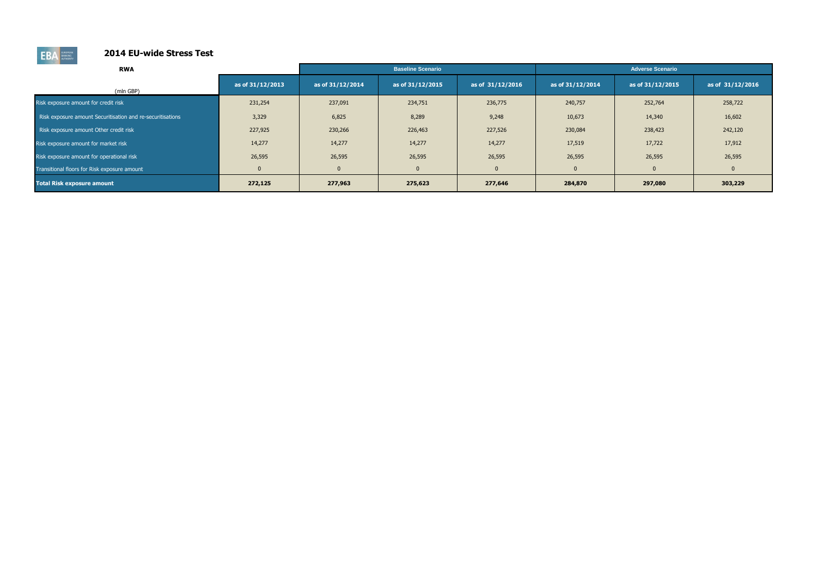

| <b>RWA</b>                                                 |                  |                  | <b>Baseline Scenario</b> |                  |                  | <b>Adverse Scenario</b> |                  |
|------------------------------------------------------------|------------------|------------------|--------------------------|------------------|------------------|-------------------------|------------------|
|                                                            |                  |                  |                          |                  |                  |                         |                  |
| (mln GBP)                                                  | as of 31/12/2013 | as of 31/12/2014 | as of 31/12/2015         | as of 31/12/2016 | as of 31/12/2014 | as of 31/12/2015        | as of 31/12/2016 |
| Risk exposure amount for credit risk                       | 231,254          | 237,091          | 234,751                  | 236,775          | 240,757          | 252,764                 | 258,722          |
| Risk exposure amount Securitisation and re-securitisations | 3,329            | 6,825            | 8,289                    | 9,248            | 10,673           | 14,340                  | 16,602           |
| Risk exposure amount Other credit risk                     | 227,925          | 230,266          | 226,463                  | 227,526          | 230,084          | 238,423                 | 242,120          |
| Risk exposure amount for market risk                       | 14,277           | 14,277           | 14,277                   | 14,277           | 17,519           | 17,722                  | 17,912           |
| Risk exposure amount for operational risk                  | 26,595           | 26,595           | 26,595                   | 26,595           | 26,595           | 26,595                  | 26,595           |
| Transitional floors for Risk exposure amount               | $\mathbf{0}$     |                  | $\overline{0}$           | $\Omega$         | $\mathbf{0}$     | $\mathbf{0}$            |                  |
| <b>Total Risk exposure amount</b>                          | 272,125          | 277,963          | 275,623                  | 277,646          | 284,870          | 297,080                 | 303,229          |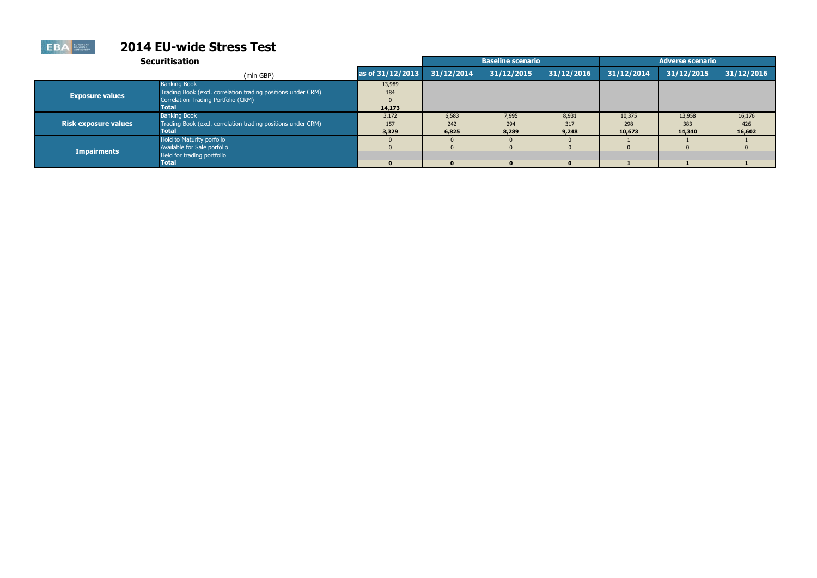|                             | <b>Securitisation</b>                                                                                                               |                         |                       | <b>Baseline scenario</b> |                       |                         | <b>Adverse scenario</b> |                         |
|-----------------------------|-------------------------------------------------------------------------------------------------------------------------------------|-------------------------|-----------------------|--------------------------|-----------------------|-------------------------|-------------------------|-------------------------|
|                             | (mln GBP)                                                                                                                           | as of 31/12/2013        | 31/12/2014            | 31/12/2015               | 31/12/2016            | 31/12/2014              | 31/12/2015              | 31/12/2016              |
| <b>Exposure values</b>      | <b>Banking Book</b><br>Trading Book (excl. correlation trading positions under CRM)<br>Correlation Trading Portfolio (CRM)<br>Total | 13,989<br>184<br>14,173 |                       |                          |                       |                         |                         |                         |
| <b>Risk exposure values</b> | <b>Banking Book</b><br>Trading Book (excl. correlation trading positions under CRM)<br>Total                                        | 3,172<br>157<br>3,329   | 6,583<br>242<br>6,825 | 7,995<br>294<br>8,289    | 8,931<br>317<br>9,248 | 10,375<br>298<br>10,673 | 13,958<br>383<br>14,340 | 16,176<br>426<br>16,602 |
| <b>Impairments</b>          | Hold to Maturity porfolio<br>Available for Sale porfolio<br>Held for trading portfolio<br>Total                                     | $\bf{0}$                | $\mathbf{0}$          | $\mathbf{0}$             | $\Omega$              |                         |                         |                         |

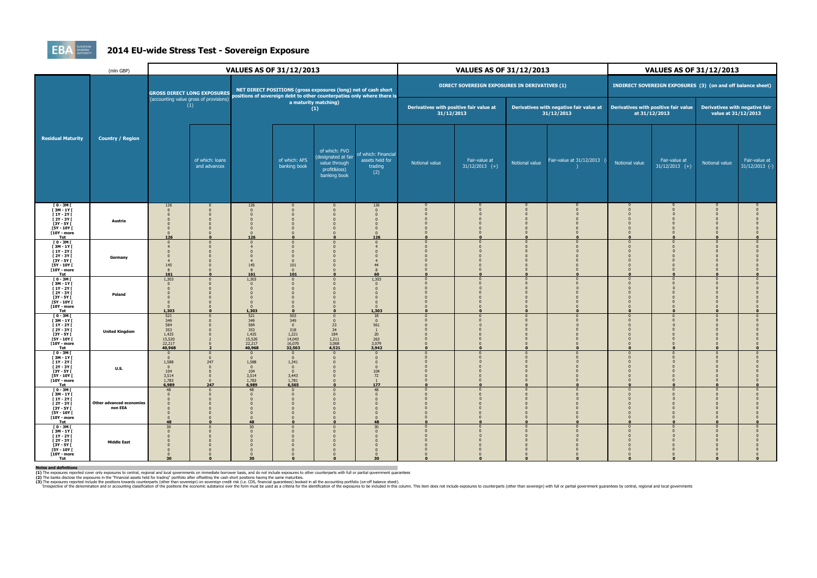

### **2014 EU-wide Stress Test - Sovereign Exposure**

|                                                                                                                                              | (mln GBP)                                  | <b>VALUES AS OF 31/12/2013</b>                                                                 |                                                                                                                                                                                |                                                                 |                                                                            | <b>VALUES AS OF 31/12/2013</b>                                                        |                                                                          |                | <b>VALUES AS OF 31/12/2013</b>                        |                                                             |                                                       |                |                                                       |                |                                   |
|----------------------------------------------------------------------------------------------------------------------------------------------|--------------------------------------------|------------------------------------------------------------------------------------------------|--------------------------------------------------------------------------------------------------------------------------------------------------------------------------------|-----------------------------------------------------------------|----------------------------------------------------------------------------|---------------------------------------------------------------------------------------|--------------------------------------------------------------------------|----------------|-------------------------------------------------------|-------------------------------------------------------------|-------------------------------------------------------|----------------|-------------------------------------------------------|----------------|-----------------------------------|
| <b>Residual Maturity</b>                                                                                                                     | <b>Country / Region</b>                    |                                                                                                | NET DIRECT POSITIONS (gross exposures (long) net of cash short<br><b>GROSS DIRECT LONG EXPOSURES</b><br>positions of sovereign debt to other counterpaties only where there is |                                                                 |                                                                            | DIRECT SOVEREIGN EXPOSURES IN DERIVATIVES (1)                                         |                                                                          |                |                                                       | INDIRECT SOVEREIGN EXPOSURES (3) (on and off balance sheet) |                                                       |                |                                                       |                |                                   |
|                                                                                                                                              |                                            | (accounting value gross of provisions)<br>(1)                                                  |                                                                                                                                                                                | a maturity matching)<br>(1)                                     |                                                                            |                                                                                       | Derivatives with positive fair value at<br>31/12/2013                    |                | Derivatives with negative fair value at<br>31/12/2013 |                                                             | Derivatives with positive fair value<br>at 31/12/2013 |                | Derivatives with negative fair<br>value at 31/12/2013 |                |                                   |
|                                                                                                                                              |                                            |                                                                                                | of which: loans<br>and advances                                                                                                                                                |                                                                 | of which: AFS<br>banking book                                              | of which: FVO<br>(designated at fair<br>value through<br>profit&loss)<br>banking book | of which: Financial<br>assets held for<br>trading<br>(2)                 | Notional value | Fair-value at<br>$31/12/2013$ (+)                     | Notional value                                              | Fair-value at 31/12/2013                              | Notional value | Fair-value at<br>$31/12/2013$ (+)                     | Notional value | Fair-value at<br>$31/12/2013$ (-) |
| $10 - 3M$<br>$[3M-1Y]$<br>$[1Y - 2Y]$<br>[2Y - 3Y [<br>[3Y - 5Y [<br>[5Y - 10Y [<br>[10Y - more<br><b>Tot</b>                                | Austria                                    | 126<br>$\Omega$<br>$\Omega$<br>126                                                             |                                                                                                                                                                                | 126<br>126                                                      |                                                                            | $\Omega$                                                                              | 126<br>$\Omega$<br>126                                                   |                |                                                       |                                                             |                                                       |                |                                                       |                |                                   |
| $I$ 0 - 3M $I$<br>[3M-1Y]<br>$[1Y - 2Y]$<br>[2Y - 3Y [<br><b>13Y - 5Y I</b><br><b>F5Y - 10Y F</b><br>[10Y - more<br>Tot                      | Germany                                    | $\overline{0}$<br>$\overline{4}$<br>145<br>8<br>161                                            |                                                                                                                                                                                | $\Omega$<br>145<br>161                                          | $\Omega$<br>$\Omega$<br>101<br>$\overline{0}$<br>101                       | $\overline{0}$                                                                        | $\Omega$<br>60                                                           |                |                                                       |                                                             |                                                       |                |                                                       |                |                                   |
| $[0 - 3M]$<br>$[3M-1Y]$<br>$[1Y - 2Y]$<br>[2Y - 3Y [<br>[3Y - 5Y [<br><b>[5Y - 10Y [</b><br>[10Y - more<br>Tot                               | Poland                                     | 1,303<br>$\Omega$<br>$\mathbf{0}$<br>1,303                                                     |                                                                                                                                                                                | 1,303<br>1,303                                                  | $\Omega$                                                                   | $\Omega$                                                                              | 1,303<br>1,303                                                           |                |                                                       |                                                             |                                                       |                |                                                       |                |                                   |
| $I$ 0 - 3M $I$<br><b>T3M-1YT</b><br>$\Gamma$ 1Y - 2Y $\Gamma$<br><b>F2Y - 3Y F</b><br>[3Y - 5Y [<br>[5Y - 10Y [<br>[10Y - more<br><b>Tot</b> | <b>United Kingdom</b>                      | 521<br>349<br>$\begin{array}{r} 584 \\ 353 \\ 1,425 \end{array}$<br>15,520<br>22,217<br>40,968 |                                                                                                                                                                                | 521<br>349<br>584<br>353<br>1,425<br>15,520<br>22,217<br>40,968 | 503<br>349<br>$\overline{0}$<br>318<br>1,221<br>14,043<br>16,070<br>32,503 | $\overline{0}$<br>$\Omega$<br>23<br>34<br>184<br>1,211<br>3,068<br>4,521              | 18<br>$\mathbf{0}$<br>561<br>$\mathbf{1}$<br>20<br>263<br>3,079<br>3,942 |                |                                                       |                                                             |                                                       |                |                                                       |                |                                   |
| $I$ 0 - 3M $I$<br>$[3M - 1Y]$<br>$[1Y - 2Y]$<br>$[2Y - 3Y]$<br>[3Y - 5Y [<br>[5Y - 10Y [<br>[10Y - more<br><b>Tot</b>                        | <b>U.S.</b>                                | $\overline{0}$<br>$\mathbf{0}$<br>1,588<br>$\Omega$<br>104<br>3,514<br>1,783<br>6,989          | 247<br>247                                                                                                                                                                     | $\Omega$<br>$\Omega$<br>1,588<br>104<br>3,514<br>1,783<br>6,989 | $\Omega$<br>$\mathbf{0}$<br>1,341<br>3,443<br>1,781<br>6,565               | $\Omega$<br>n                                                                         | $\Omega$<br>104<br>72<br>$\mathbf{1}$<br>177                             |                |                                                       |                                                             | $\mathbf{r}$                                          |                |                                                       |                |                                   |
| $I$ 0 - 3M $I$<br>$I$ 3M - 1Y $I$<br>$[1Y - 2Y]$<br>$[2Y - 3Y]$<br>$[3Y - 5Y]$<br>[5Y - 10Y [<br>[10Y - more<br><b>Tot</b>                   | <b>Other advanced economies</b><br>non EEA | 48<br>$\Omega$<br>$\Omega$<br>48                                                               |                                                                                                                                                                                | 48<br>$\Omega$<br>48                                            | $\Omega$<br>$\Omega$                                                       | $\overline{0}$<br>$\Omega$<br>$\Omega$                                                | 48<br>$\Omega$<br>48                                                     |                |                                                       |                                                             | $\mathbf{r}$                                          | $\Omega$       |                                                       |                |                                   |
| $10 - 3M$<br>$[3M-1Y]$<br>$[1Y - 2Y]$<br>$[2Y - 3Y]$<br>$[3Y - 5Y]$<br><b>F5Y - 10Y F</b><br><b>T10Y - more</b><br>Tot                       | <b>Middle East</b>                         | 30 <sup>°</sup><br>$\mathbf{0}$<br>$\Omega$<br>$\Omega$<br>30                                  |                                                                                                                                                                                | 30<br>$\Omega$<br>30                                            |                                                                            | $\Omega$                                                                              | 30<br>30                                                                 |                |                                                       |                                                             |                                                       |                |                                                       |                |                                   |

Notes and definitions<br>(1) The exposures reported cover only exposures to central, regional and local governments on immediate borrower basis, and do not include exposures to other counterparts with full or partial governme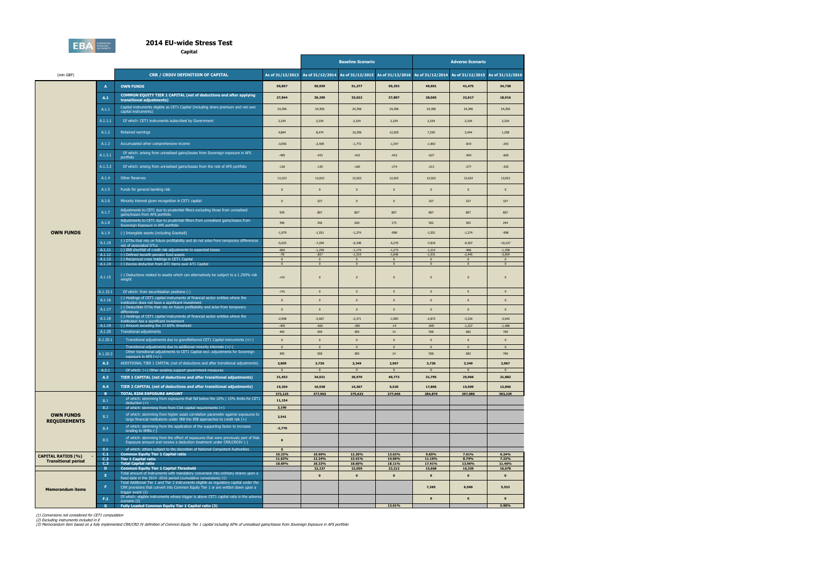

**Capital**

|                            |                     |                                                                                                                                                                                                  |                              |                                  |                                  | <b>Baseline Scenario</b>         |                                                                                                       | <b>Adverse Scenario</b>        |                                |  |
|----------------------------|---------------------|--------------------------------------------------------------------------------------------------------------------------------------------------------------------------------------------------|------------------------------|----------------------------------|----------------------------------|----------------------------------|-------------------------------------------------------------------------------------------------------|--------------------------------|--------------------------------|--|
| (mln GBP)                  |                     | <b>CRR / CRDIV DEFINITION OF CAPITAL</b>                                                                                                                                                         | As of 31/12/2013             |                                  |                                  |                                  | As of 31/12/2014 As of 31/12/2015 As of 31/12/2016 As of 31/12/2014 As of 31/12/2015 As of 31/12/2016 |                                |                                |  |
|                            | $\mathbf{A}$        | <b>OWN FUNDS</b>                                                                                                                                                                                 | 50,857                       | 50,959                           | 51,277                           | 50,293                           | 49,601                                                                                                | 41,475                         | 34,738                         |  |
|                            | A.1                 | <b>COMMON EQUITY TIER 1 CAPITAL (net of deductions and after applying</b><br>transitional adjustments)                                                                                           | 27,844                       | 30,290                           | 33,622                           | 37,807                           | 28,065                                                                                                | 22,617                         | 18,916                         |  |
|                            | A.1.1               | Capital instruments eligible as CET1 Capital (including share premium and net own<br>capital instruments)                                                                                        | 24,396                       | 24,396                           | 24,396                           | 24,396                           | 24,396                                                                                                | 24,396                         | 24,396                         |  |
|                            | A.1.1.1             | Of which: CET1 instruments subscribed by Government                                                                                                                                              | 2,334                        | 2,334                            | 2,334                            | 2,334                            | 2,334                                                                                                 | 2,334                          | 2,334                          |  |
|                            | A.1.2               | Retained earnings                                                                                                                                                                                | 4,844                        | 8,474                            | 10,396                           | 12,925                           | 7,250                                                                                                 | 3,444                          | 1,258                          |  |
|                            | A.1.3               | Accumulated other comprehensive income                                                                                                                                                           | $-3,956$                     | $-2,409$                         | $-1,772$                         | $-1,347$                         | $-1,963$                                                                                              | $-819$                         | $-243$                         |  |
|                            | A.1.3.1             | Of which: arising from unrealised gains/losses from Sovereign exposure in AFS<br>portfolio                                                                                                       | $-495$                       | $-433$                           | $-433$                           | $-433$                           | $-627$                                                                                                | $-504$                         | $-609$                         |  |
|                            | A.1.3.2             | Of which: arising from unrealised gains/losses from the rest of AFS portfolio                                                                                                                    | $-120$                       | $-139$                           | $-160$                           | $-174$                           | $-213$                                                                                                | $-277$                         | $-320$                         |  |
|                            | A.1.4               | <b>Other Reserves</b>                                                                                                                                                                            | 12,222                       | 12,022                           | 12,022                           | 12,022                           | 12,022                                                                                                | 12,022                         | 12,022                         |  |
|                            | A.1.5               | Funds for general banking risk                                                                                                                                                                   | $\mathbf{0}$                 | $\overline{0}$                   | $\pmb{0}$                        | $\mathbf 0$                      | $\overline{0}$                                                                                        | $\mathbf{0}$                   | $\pmb{0}$                      |  |
|                            | A.1.6               | Minority interest given recognition in CET1 capital                                                                                                                                              | $\mathbf{0}$                 | 327                              | $\mathbf{0}$                     | $\mathbf{0}$                     | 327                                                                                                   | 327                            | 327                            |  |
|                            | A.1.7               | Adjustments to CET1 due to prudential filters excluding those from unrealised<br>gains/losses from AFS portfolio                                                                                 | 939                          | 807                              | 807                              | 807                              | 807                                                                                                   | 807                            | 807                            |  |
|                            | A.1.8               | Adjustments to CET1 due to prudential filters from unrealised gains/losses from<br>Sovereign Exposure in AFS portfolio                                                                           | 396                          | 346                              | 260                              | 173                              | 502                                                                                                   | 303                            | 244                            |  |
| <b>OWN FUNDS</b>           | A.1.9               | (-) Intangible assets (including Goodwill)                                                                                                                                                       | $-1,979$                     | $-1,551$                         | $-1,274$                         | $-998$                           | $-1,551$                                                                                              | $-1,274$                       | $-998$                         |  |
|                            | A.1.10              | (-) DTAs that rely on future profitability and do not arise from temporary differences<br>net of associated DTLs                                                                                 | $-5,025$                     | $-7,204$                         | $-6,348$                         | $-5,270$                         | $-7,819$                                                                                              | $-9,307$                       | $-10,227$                      |  |
|                            | A.1.11<br>A.1.12    | (-) IRB shortfall of credit risk adjustments to expected losses<br>(-) Defined benefit pension fund assets                                                                                       | $-865$<br>$-78$              | $-1,259$<br>$-827$               | $-1,174$<br>$-1,319$             | $-1,273$<br>$-1,646$             | $-1,215$<br>$-1,531$                                                                                  | $-966$<br>$-2,445$             | $-1,258$<br>$-3,054$           |  |
|                            | A.1.13<br>A.1.14    | (-) Reciprocal cross holdings in CET1 Capital<br>(-) Excess deduction from AT1 items over AT1 Capital                                                                                            | $\mathbf{0}$<br>$\mathbf{0}$ | $\overline{0}$<br>$\overline{0}$ | $\overline{0}$<br>$\overline{0}$ | $\overline{0}$<br>$\overline{0}$ | $\overline{0}$<br>$\overline{\mathbf{0}}$                                                             | $\mathbf{0}$<br>$\overline{0}$ | $\mathbf{0}$<br>$\overline{0}$ |  |
|                            | A.1.15              | (-) Deductions related to assets which can alternatively be subject to a 1.250% risk<br>weight                                                                                                   | $-141$                       | $\overline{0}$                   | $\mathbf{0}$                     | $\mathbf{0}$                     | $\overline{0}$                                                                                        | $\mathbf{0}$                   | $\mathbf{0}$                   |  |
|                            | A.1.15.1            | Of which: from securitisation positions (-)                                                                                                                                                      | $-141$                       | $\mathbf 0$                      | $\pmb{0}$                        | $\mathbf{0}$                     | $\overline{\mathbf{0}}$                                                                               | $\mathbf{0}$                   | $\pmb{0}$                      |  |
|                            | A.1.16              | (-) Holdings of CET1 capital instruments of financial sector entities where the<br>institiution does not have a significant investment                                                           | $\Omega$                     | $\Omega$                         | $\mathbf{0}$                     | $\mathbf{0}$                     | $\overline{0}$                                                                                        | $\mathbf{0}$                   | $\pmb{0}$                      |  |
|                            | A.1.17              | (-) Deductible DTAs that rely on future profitability and arise from temporary<br>differences                                                                                                    | $\Omega$                     | $\Omega$                         | $\pmb{0}$                        | $\mathbf{0}$                     | $\overline{0}$                                                                                        | $\bf{0}$                       | $\mathbf{0}$                   |  |
|                            | A.1.18              | (-) Holdings of CET1 capital instruments of financial sector entities where the<br>institiution has a significant investment                                                                     | $-2,908$                     | $-2,667$                         | $-2,371$                         | $-1,983$                         | $-2,872$                                                                                              | $-3,326$                       | $-3,642$                       |  |
|                            | A.1.19<br>A.1.20    | (-) Amount exceding the 17.65% threshold<br><b>Transitional adjustments</b>                                                                                                                      | $-405$<br>405                | $-665$<br>500                    | $-385$<br>385                    | $-14$<br>14                      | $-845$<br>558                                                                                         | $-1,227$<br>683                | $-1,486$<br>769                |  |
|                            | A.1.20.1            | Transitional adjustments due to grandfathered CET1 Capital instruments (+/-)                                                                                                                     | $\mathbf{0}$                 | $\overline{0}$                   | $\mathbf{0}$                     | $\mathbf{0}$                     | $\overline{0}$                                                                                        | $\mathbf{0}$                   | $\pmb{0}$                      |  |
|                            |                     | Transitional adjustments due to additional minority interests (+/-)<br>Other transitional adjustments to CET1 Capital excl. adjustments for Sovereign                                            | $\bf{0}$                     | $\overline{\mathbf{0}}$          | $\bf{0}$                         | $\mathbf 0$                      | $\overline{0}$                                                                                        | $\bf{0}$                       | $\mathbf{0}$                   |  |
|                            | A.1.20.3<br>A.2     | exposure in AFS $(+/-)$<br>ADDITIONAL TIER 1 CAPITAL (net of deductions and after transitional adjustments)                                                                                      | 405<br>3,809                 | 500<br>3,730                     | 385<br>3,349                     | 14<br>2,967                      | 558<br>3,730                                                                                          | 683<br>3,349                   | 769<br>2,967                   |  |
|                            | A.2.1               | Of which: (+) Other existing support government measures                                                                                                                                         | $\mathbf{0}$                 | $\overline{0}$                   | $\bf{0}$                         | $\overline{0}$                   | $\overline{0}$                                                                                        | $\bf{0}$                       | $\mathbf{0}$                   |  |
|                            | A.3                 | TIER 1 CAPITAL (net of deductions and after transitional adjustments)                                                                                                                            | 31,653                       | 34,021                           | 36,970                           | 40,773                           | 31,795                                                                                                | 25,966                         | 21,882                         |  |
|                            | A.4                 | TIER 2 CAPITAL (net of deductions and after transitional adjustments)                                                                                                                            | 19,204                       | 16,938                           | 14,307                           | 9,520                            | 17,806                                                                                                | 15,509                         | 12,856                         |  |
|                            | $\mathbf{B}$<br>B.1 | <b>TOTAL RISK EXPOSURE AMOUNT</b><br>of which: stemming from exposures that fall below the 10% / 15% limits for CET1                                                                             | 272,125<br>11,154            | 277,963                          | 275,623                          | 277,646                          | 284,870                                                                                               | 297,080                        | 303,229                        |  |
|                            | B.2                 | $deduction (+)$<br>of which: stemming from from CVA capital requirements $(+)$                                                                                                                   | 3,190                        |                                  |                                  |                                  |                                                                                                       |                                |                                |  |
| <b>OWN FUNDS</b>           | B.3                 | of which: stemming from higher asset correlation parameter against exposures to<br>large financial institutions under IRB the IRB approaches to credit risk $(+)$                                | 2,541                        |                                  |                                  |                                  |                                                                                                       |                                |                                |  |
| <b>REQUIREMENTS</b>        | <b>B.4</b>          | of which: stemming from the application of the supporting factor to increase<br>lending to SMEs (-)                                                                                              | $-2,770$                     |                                  |                                  |                                  |                                                                                                       |                                |                                |  |
|                            | B.5                 | of which: stemming from the effect of exposures that were previously part of Risk<br>Exposure amount and receive a deduction treatment under CRR/CRDIV (-)                                       | $\mathbf{0}$                 |                                  |                                  |                                  |                                                                                                       |                                |                                |  |
|                            | <b>B.6</b>          | of which: others subject to the discretion of National Competent Authorities                                                                                                                     | $\mathbf{0}$                 |                                  |                                  |                                  |                                                                                                       |                                |                                |  |
| <b>CAPITAL RATIOS (%)</b>  | C.1<br>C.2          | <b>Common Equity Tier 1 Capital ratio</b><br><b>Tier 1 Capital ratio</b>                                                                                                                         | 10.23%<br>11.63%             | 10.90%<br>12.24%                 | 12.20%<br>13.41%                 | 13.62%<br>14.69%                 | 9.85%<br>11.16%                                                                                       | 7.61%<br>8.74%                 | 6.24%<br>7.22%                 |  |
| <b>Transitional period</b> | C.3                 | <b>Total Capital ratio</b>                                                                                                                                                                       | 18.69%                       | 18.33%                           | 18.60%                           | 18.11%                           | 17.41%                                                                                                | 13.96%                         | 11.46%                         |  |
|                            | D                   | <b>Common Equity Tier 1 Capital Threshold</b><br>Total amount of instruments with mandatory conversion into ordinary shares upon a                                                               |                              | 22,237                           | 22,050                           | 22,212                           | 15,668                                                                                                | 16,339                         | 16,678                         |  |
|                            | Æ.                  | fixed date in the 2014 -2016 period (cumulative conversions) (1)<br>Total Additional Tier 1 and Tier 2 instruments eligible as regulatory capital under the                                      |                              | $\mathbf{0}$                     | $\mathbf{0}$                     | $\mathbf 0$                      | $\mathbf 0$                                                                                           | $\mathbf 0$                    | $\pmb{\mathsf{o}}$             |  |
| <b>Memorandum items</b>    | F.                  | CRR provisions that convert into Common Equity Tier 1 or are written down upon a<br>trigger event (2)<br>Of which: eligible instruments whose trigger is above CET1 capital ratio in the adverse |                              |                                  |                                  |                                  | 7,265                                                                                                 | 6,560                          | 5,532                          |  |
|                            | F.1<br>$\mathbf{G}$ | scenario (2)<br><b>Fully Loaded Common Equity Tier 1 Capital ratio (3)</b>                                                                                                                       |                              |                                  |                                  | 13.61%                           | $\mathbf{0}$                                                                                          | $\pmb{0}$                      | $\pmb{\mathsf{o}}$<br>5.98%    |  |

(1) Conversions not considered for CET1 computation<br>(2) Excluding instruments included in E<br>(3) Memorandum item based on a fully implemented CRR/CRD IV definition of Common Equity Tier 1 capital including 60% of unrealised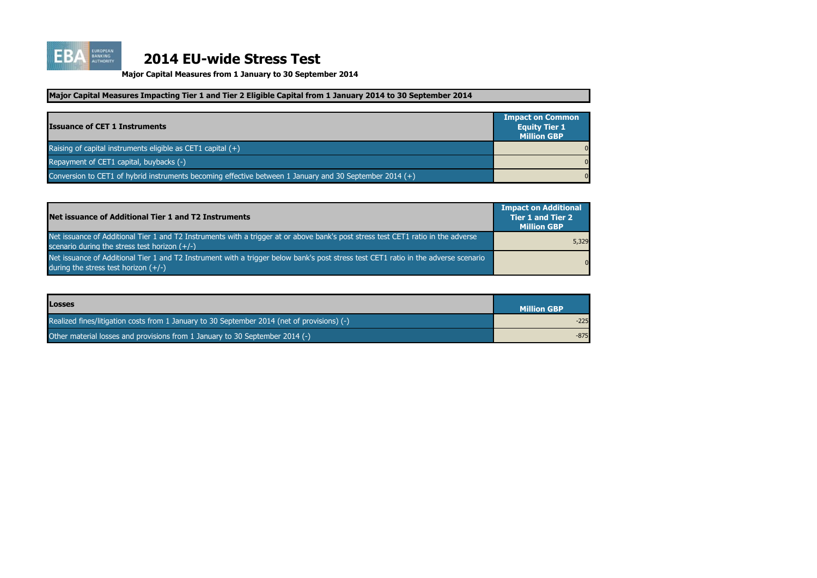

| <b>Issuance of CET 1 Instruments</b>                                                                    | <b>Impact on Common</b><br><b>Equity Tier 1</b><br><b>Million GBP</b> |
|---------------------------------------------------------------------------------------------------------|-----------------------------------------------------------------------|
| Raising of capital instruments eligible as CET1 capital $(+)$                                           | $\overline{0}$                                                        |
| Repayment of CET1 capital, buybacks (-)                                                                 | $\overline{0}$                                                        |
| Conversion to CET1 of hybrid instruments becoming effective between 1 January and 30 September 2014 (+) | $\overline{0}$                                                        |

| Net issuance of Additional Tier 1 and T2 Instruments                                                                                                                                 | <b>Impact on Additional</b><br><b>Tier 1 and Tier 2</b><br><b>Million GBP</b> |
|--------------------------------------------------------------------------------------------------------------------------------------------------------------------------------------|-------------------------------------------------------------------------------|
| Net issuance of Additional Tier 1 and T2 Instruments with a trigger at or above bank's post stress test CET1 ratio in the adverse<br>scenario during the stress test horizon $(+/-)$ | 5,329                                                                         |
| Net issuance of Additional Tier 1 and T2 Instrument with a trigger below bank's post stress test CET1 ratio in the adverse scenario<br>during the stress test horizon $(+/-)$        | $\overline{0}$                                                                |

**Major Capital Measures from 1 January to 30 September 2014**

| <b>Losses</b>                                                                               | <b>Million GBP</b> |
|---------------------------------------------------------------------------------------------|--------------------|
| Realized fines/litigation costs from 1 January to 30 September 2014 (net of provisions) (-) | $-225$             |
| Other material losses and provisions from 1 January to 30 September 2014 (-)                | $-875$             |

### **Major Capital Measures Impacting Tier 1 and Tier 2 Eligible Capital from 1 January 2014 to 30 September 2014**